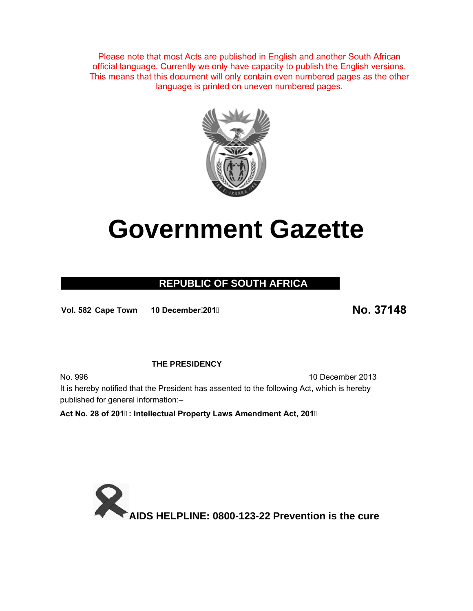Please note that most Acts are published in English and another South African official language. Currently we only have capacity to publish the English versions. This means that this document will only contain even numbered pages as the other language is printed on uneven numbered pages.



# **Government Gazette**

# **REPUBLIC OF SOUTH AFRICA**

**Vol. 5 <sup>82</sup> Cape Town 10 December201 No. 37148**

# **THE PRESIDENCY**

No. 996 10 December 2013 It is hereby notified that the President has assented to the following Act, which is hereby published for general information:–

**Act No. 28 of 201: Intellectual Property Laws Amendment Act, 201**

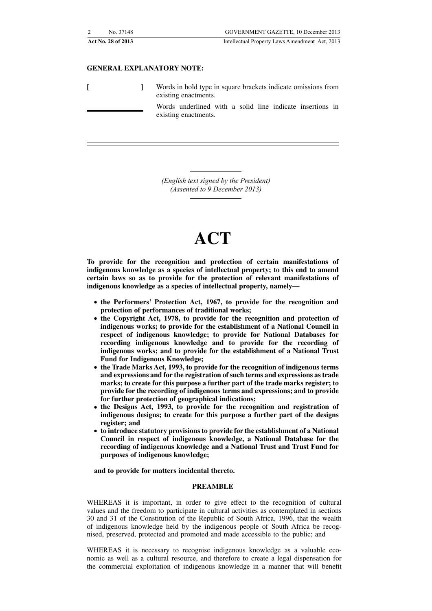| No. 37148          | GOVERNMENT GAZETTE, 10 December 2013           |
|--------------------|------------------------------------------------|
| Act No. 28 of 2013 | Intellectual Property Laws Amendment Act, 2013 |
|                    |                                                |

# **GENERAL EXPLANATORY NOTE:**

|  | Words in bold type in square brackets indicate omissions from<br>existing enactments. |  |  |
|--|---------------------------------------------------------------------------------------|--|--|
|  | Words underlined with a solid line indicate insertions in<br>existing enactments.     |  |  |

*(English text signed by the President) (Assented to 9 December 2013)*

# **ACT**

**To provide for the recognition and protection of certain manifestations of indigenous knowledge as a species of intellectual property; to this end to amend certain laws so as to provide for the protection of relevant manifestations of indigenous knowledge as a species of intellectual property, namely—**

- **the Performers' Protection Act, 1967, to provide for the recognition and protection of performances of traditional works;**
- **the Copyright Act, 1978, to provide for the recognition and protection of indigenous works; to provide for the establishment of a National Council in respect of indigenous knowledge; to provide for National Databases for recording indigenous knowledge and to provide for the recording of indigenous works; and to provide for the establishment of a National Trust Fund for Indigenous Knowledge;**
- **the Trade Marks Act, 1993, to provide for the recognition of indigenous terms and expressions and for the registration of such terms and expressions as trade marks; to create for this purpose a further part of the trade marks register; to provide for the recording of indigenous terms and expressions; and to provide for further protection of geographical indications;**
- **the Designs Act, 1993, to provide for the recognition and registration of indigenous designs; to create for this purpose a further part of the designs register; and**
- **to introduce statutory provisions to provide for the establishment of a National Council in respect of indigenous knowledge, a National Database for the recording of indigenous knowledge and a National Trust and Trust Fund for purposes of indigenous knowledge;**

**and to provide for matters incidental thereto.**

# **PREAMBLE**

WHEREAS it is important, in order to give effect to the recognition of cultural values and the freedom to participate in cultural activities as contemplated in sections 30 and 31 of the Constitution of the Republic of South Africa, 1996, that the wealth of indigenous knowledge held by the indigenous people of South Africa be recognised, preserved, protected and promoted and made accessible to the public; and

WHEREAS it is necessary to recognise indigenous knowledge as a valuable economic as well as a cultural resource, and therefore to create a legal dispensation for the commercial exploitation of indigenous knowledge in a manner that will benefit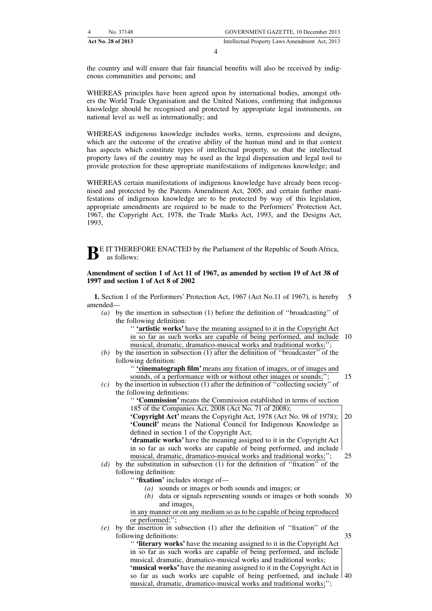| No. 37148<br>$\overline{4}$ | GOVERNMENT GAZETTE, 10 December 2013           |
|-----------------------------|------------------------------------------------|
| Act No. 28 of 2013          | Intellectual Property Laws Amendment Act, 2013 |
|                             |                                                |

the country and will ensure that fair financial benefits will also be received by indigenous communities and persons; and

WHEREAS principles have been agreed upon by international bodies, amongst others the World Trade Organisation and the United Nations, confirming that indigenous knowledge should be recognised and protected by appropriate legal instruments, on national level as well as internationally; and

WHEREAS indigenous knowledge includes works, terms, expressions and designs, which are the outcome of the creative ability of the human mind and in that context has aspects which constitute types of intellectual property, so that the intellectual property laws of the country may be used as the legal dispensation and legal tool to provide protection for these appropriate manifestations of indigenous knowledge; and

WHEREAS certain manifestations of indigenous knowledge have already been recognised and protected by the Patents Amendment Act, 2005, and certain further manifestations of indigenous knowledge are to be protected by way of this legislation, appropriate amendments are required to be made to the Performers' Protection Act, 1967, the Copyright Act, 1978, the Trade Marks Act, 1993, and the Designs Act, 1993,

**B**E IT THEREFORE ENACTED by the Parliament of the Republic of South Africa, as follows:

# **Amendment of section 1 of Act 11 of 1967, as amended by section 19 of Act 38 of 1997 and section 1 of Act 8 of 2002**

**1.** Section 1 of the Performers' Protection Act, 1967 (Act No.11 of 1967), is hereby amended— 5

*(a)* by the insertion in subsection (1) before the definition of ''broadcasting'' of the following definition:

'' **'artistic works'** have the meaning assigned to it in the Copyright Act in so far as such works are capable of being performed, and include 10 musical, dramatic, dramatico-musical works and traditional works;";

*(b)* by the insertion in subsection (1) after the definition of ''broadcaster'' of the following definition:

'' **'cinematograph film'** means any fixation of images, or of images and sounds, of a performance with or without other images or sounds;"; 15

*(c)* by the insertion in subsection (1) after the definition of ''collecting society'' of the following definitions:

'' **'Commission'** means the Commission established in terms of section 185 of the Companies Act, 2008 (Act No. 71 of 2008);

**'Copyright Act'** means the Copyright Act, 1978 (Act No. 98 of 1978); **'Council'** means the National Council for Indigenous Knowledge as defined in section 1 of the Copyright Act; 20

**'dramatic works'** have the meaning assigned to it in the Copyright Act in so far as such works are capable of being performed, and include musical, dramatic, dramatico-musical works and traditional works;";

- (d) by the substitution in subsection  $(1)$  for the definition of "fixation" of the following definition:
	- '' **'fixation'** includes storage of—
		- *(a)* sounds or images or both sounds and images; or
		- *(b)* data or signals representing sounds or images or both sounds 30 and images,

25

in any manner or on any medium so as to be capable of being reproduced or performed;'';

*(e)* by the insertion in subsection (1) after the definition of ''fixation'' of the following definitions: 35

'' **'literary works'** have the meaning assigned to it in the Copyright Act in so far as such works are capable of being performed, and include musical, dramatic, dramatico-musical works and traditional works; **'musical works'** have the meaning assigned to it in the Copyright Act in so far as such works are capable of being performed, and include 40musical, dramatic, dramatico-musical works and traditional works;";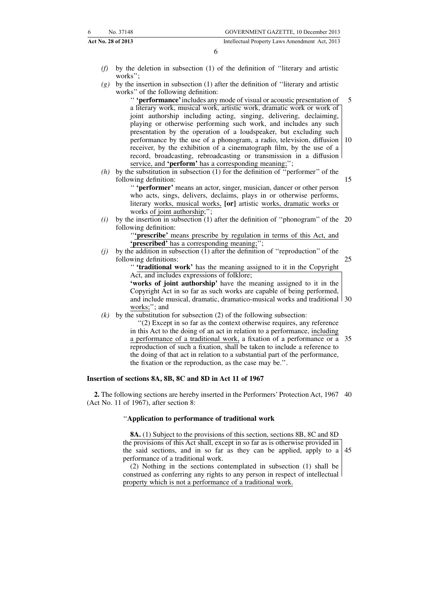| No. 37148          | GOVERNMENT GAZETTE, 10 December 2013           |
|--------------------|------------------------------------------------|
| Act No. 28 of 2013 | Intellectual Property Laws Amendment Act, 2013 |

- *(f)* by the deletion in subsection (1) of the definition of ''literary and artistic works'';
- *(g)* by the insertion in subsection (1) after the definition of ''literary and artistic works'' of the following definition:

'' **'performance'**includes any mode of visual or acoustic presentation of a literary work, musical work, artistic work, dramatic work or work of joint authorship including acting, singing, delivering, declaiming, playing or otherwise performing such work, and includes any such presentation by the operation of a loudspeaker, but excluding such performance by the use of a phonogram, a radio, television, diffusion receiver, by the exhibition of a cinematograph film, by the use of a record, broadcasting, rebroadcasting or transmission in a diffusion service, and **'perform'** has a corresponding meaning;''; 5 10

*(h)* by the substitution in subsection (1) for the definition of ''performer'' of the following definition:

> '' **'performer'** means an actor, singer, musician, dancer or other person who acts, sings, delivers, declaims, plays in or otherwise performs, literary works, musical works, **[or]** artistic works, dramatic works or works of joint authorship;";

*(i)* by the insertion in subsection (1) after the definition of ''phonogram'' of the 20 following definition:

''**'prescribe'** means prescribe by regulation in terms of this Act, and **'prescribed'** has a corresponding meaning;'';

 $(i)$  by the addition in subsection  $(i)$  after the definition of "reproduction" of the following definitions:

> '' **'traditional work'** has the meaning assigned to it in the Copyright Act, and includes expressions of folklore:

**'works of joint authorship'** have the meaning assigned to it in the Copyright Act in so far as such works are capable of being performed, and include musical, dramatic, dramatico-musical works and traditional 30 works;''; and

 $(k)$  by the substitution for subsection  $(2)$  of the following subsection:

''(2) Except in so far as the context otherwise requires, any reference in this Act to the doing of an act in relation to a performance, including a performance of a traditional work, a fixation of a performance or a 35 reproduction of such a fixation, shall be taken to include a reference to the doing of that act in relation to a substantial part of the performance, the fixation or the reproduction, as the case may be.''.

# **Insertion of sections 8A, 8B, 8C and 8D in Act 11 of 1967**

**2.** The following sections are hereby inserted in the Performers' Protection Act, 1967 40 (Act No. 11 of 1967), after section 8:

# ''**Application to performance of traditional work**

**8A.** (1) Subject to the provisions of this section, sections 8B, 8C and 8D the provisions of this Act shall, except in so far as is otherwise provided in the said sections, and in so far as they can be applied, apply to a performance of a traditional work. 45

(2) Nothing in the sections contemplated in subsection (1) shall be construed as conferring any rights to any person in respect of intellectual property which is not a performance of a traditional work.

15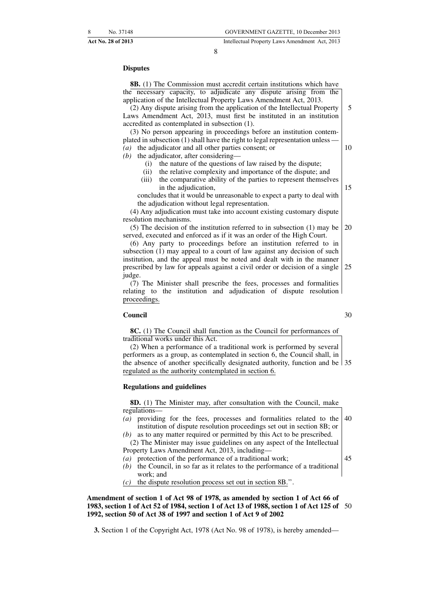8

# **Disputes**

**8B.** (1) The Commission must accredit certain institutions which have the necessary capacity, to adjudicate any dispute arising from the application of the Intellectual Property Laws Amendment Act, 2013.

(2) Any dispute arising from the application of the Intellectual Property Laws Amendment Act, 2013, must first be instituted in an institution accredited as contemplated in subsection (1).

(3) No person appearing in proceedings before an institution contemplated in subsection (1) shall have the right to legal representation unless — *(a)* the adjudicator and all other parties consent; or

- *(b)* the adjudicator, after considering—
	- (i) the nature of the questions of law raised by the dispute;
	- (ii) the relative complexity and importance of the dispute; and
	- (iii) the comparative ability of the parties to represent themselves in the adjudication,

concludes that it would be unreasonable to expect a party to deal with the adjudication without legal representation.

(4) Any adjudication must take into account existing customary dispute resolution mechanisms.

(5) The decision of the institution referred to in subsection (1) may be served, executed and enforced as if it was an order of the High Court. 20

(6) Any party to proceedings before an institution referred to in subsection (1) may appeal to a court of law against any decision of such institution, and the appeal must be noted and dealt with in the manner prescribed by law for appeals against a civil order or decision of a single judge. 25

(7) The Minister shall prescribe the fees, processes and formalities relating to the institution and adjudication of dispute resolution proceedings.

# **Council**

**8C.** (1) The Council shall function as the Council for performances of traditional works under this Act.

(2) When a performance of a traditional work is performed by several performers as a group, as contemplated in section 6, the Council shall, in the absence of another specifically designated authority, function and be 35 regulated as the authority contemplated in section 6.

# **Regulations and guidelines**

**8D.** (1) The Minister may, after consultation with the Council, make regulations—

*(a)* providing for the fees, processes and formalities related to the institution of dispute resolution proceedings set out in section 8B; or *(b)* as to any matter required or permitted by this Act to be prescribed. 40

(2) The Minister may issue guidelines on any aspect of the Intellectual Property Laws Amendment Act, 2013, including—

- *(a)* protection of the performance of a traditional work;
- *(b)* the Council, in so far as it relates to the performance of a traditional work; and
- *(c)* the dispute resolution process set out in section 8B.''.

# **Amendment of section 1 of Act 98 of 1978, as amended by section 1 of Act 66 of 1983, section 1 of Act 52 of 1984, section 1 of Act 13 of 1988, section 1 of Act 125 of** 50**1992, section 50 of Act 38 of 1997 and section 1 of Act 9 of 2002**

**3.** Section 1 of the Copyright Act, 1978 (Act No. 98 of 1978), is hereby amended—

30

45

5

10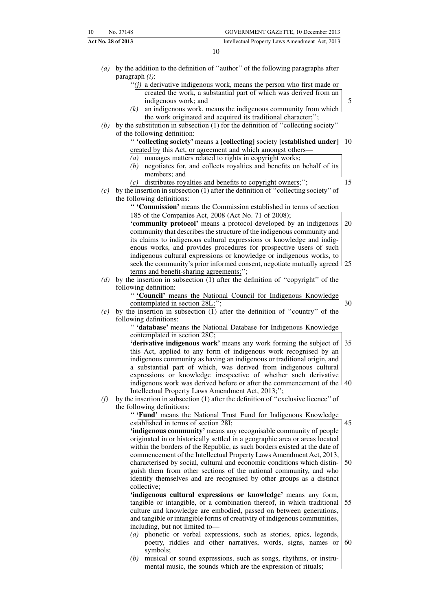| 10                 | No. 37148      | GOVERNMENT GAZETTE, 10 December 2013                                                                                                      |      |
|--------------------|----------------|-------------------------------------------------------------------------------------------------------------------------------------------|------|
| Act No. 28 of 2013 |                | Intellectual Property Laws Amendment Act, 2013                                                                                            |      |
|                    |                | 10                                                                                                                                        |      |
|                    |                |                                                                                                                                           |      |
|                    |                | $(a)$ by the addition to the definition of "author" of the following paragraphs after                                                     |      |
|                    | paragraph (i): |                                                                                                                                           |      |
|                    |                | $\lq\lq(j)$ a derivative indigenous work, means the person who first made or                                                              |      |
|                    |                | created the work, a substantial part of which was derived from an                                                                         |      |
|                    |                | indigenous work; and                                                                                                                      | 5    |
|                    | (k)            | an indigenous work, means the indigenous community from which                                                                             |      |
|                    |                | the work originated and acquired its traditional character;";                                                                             |      |
|                    |                | (b) by the substitution in subsection (1) for the definition of "collecting society"                                                      |      |
|                    |                | of the following definition:                                                                                                              |      |
|                    |                | " 'collecting society' means a [collecting] society [established under]                                                                   | - 10 |
|                    |                | created by this Act, or agreement and which amongst others—                                                                               |      |
|                    | (a)            | manages matters related to rights in copyright works;                                                                                     |      |
|                    |                | $(b)$ negotiates for, and collects royalties and benefits on behalf of its                                                                |      |
|                    |                | members; and                                                                                                                              |      |
|                    |                | $(c)$ distributes royalties and benefits to copyright owners;";                                                                           | 15   |
| (c)                |                | by the insertion in subsection (1) after the definition of "collecting society" of                                                        |      |
|                    |                | the following definitions:                                                                                                                |      |
|                    |                | " 'Commission' means the Commission established in terms of section                                                                       |      |
|                    |                | 185 of the Companies Act, 2008 (Act No. 71 of 2008);                                                                                      |      |
|                    |                | 'community protocol' means a protocol developed by an indigenous                                                                          | 20   |
|                    |                | community that describes the structure of the indigenous community and                                                                    |      |
|                    |                | its claims to indigenous cultural expressions or knowledge and indig-                                                                     |      |
|                    |                | enous works, and provides procedures for prospective users of such                                                                        |      |
|                    |                | indigenous cultural expressions or knowledge or indigenous works, to                                                                      |      |
|                    |                | seek the community's prior informed consent, negotiate mutually agreed 25                                                                 |      |
|                    |                | terms and benefit-sharing agreements;";                                                                                                   |      |
|                    |                | $(d)$ by the insertion in subsection (1) after the definition of "copyright" of the                                                       |      |
|                    |                | following definition:                                                                                                                     |      |
|                    |                | "'Council' means the National Council for Indigenous Knowledge                                                                            | 30   |
|                    |                | contemplated in section 28L;";<br>by the insertion in subsection $(1)$ after the definition of "country" of the                           |      |
| (e)                |                | following definitions:                                                                                                                    |      |
|                    |                | " 'database' means the National Database for Indigenous Knowledge                                                                         |      |
|                    |                | contemplated in section 28C;                                                                                                              |      |
|                    |                | 'derivative indigenous work' means any work forming the subject of                                                                        | 35   |
|                    |                | this Act, applied to any form of indigenous work recognised by an                                                                         |      |
|                    |                | indigenous community as having an indigenous or traditional origin, and                                                                   |      |
|                    |                | a substantial part of which, was derived from indigenous cultural                                                                         |      |
|                    |                | expressions or knowledge irrespective of whether such derivative                                                                          |      |
|                    |                | indigenous work was derived before or after the commencement of the $\vert$ 40                                                            |      |
|                    |                | Intellectual Property Laws Amendment Act, 2013;";                                                                                         |      |
| (f)                |                | by the insertion in subsection (1) after the definition of "exclusive licence" of                                                         |      |
|                    |                | the following definitions:                                                                                                                |      |
|                    |                | "'Fund' means the National Trust Fund for Indigenous Knowledge                                                                            |      |
|                    |                | established in terms of section 28I;                                                                                                      | 45   |
|                    |                | 'indigenous community' means any recognisable community of people                                                                         |      |
|                    |                | originated in or historically settled in a geographic area or areas located                                                               |      |
|                    |                | within the borders of the Republic, as such borders existed at the date of                                                                |      |
|                    |                | commencement of the Intellectual Property Laws Amendment Act, 2013,                                                                       |      |
|                    |                | characterised by social, cultural and economic conditions which distin-                                                                   | 50   |
|                    |                | guish them from other sections of the national community, and who<br>identify themselves and are recognised by other groups as a distinct |      |
|                    |                | collective;                                                                                                                               |      |
|                    |                | 'indigenous cultural expressions or knowledge' means any form,                                                                            |      |
|                    |                | tangible or intangible, or a combination thereof, in which traditional                                                                    | 55   |
|                    |                | culture and knowledge are embodied, passed on between generations,                                                                        |      |
|                    |                | and tangible or intangible forms of creativity of indigenous communities,                                                                 |      |
|                    |                | including, but not limited to-                                                                                                            |      |
|                    | (a)            | phonetic or verbal expressions, such as stories, epics, legends,                                                                          |      |
|                    |                | poetry, riddles and other narratives, words, signs, names or                                                                              | 60   |
|                    |                | symbols;                                                                                                                                  |      |
|                    | (b)            | musical or sound expressions, such as songs, rhythms, or instru-                                                                          |      |
|                    |                | mental music, the sounds which are the expression of rituals;                                                                             |      |
|                    |                |                                                                                                                                           |      |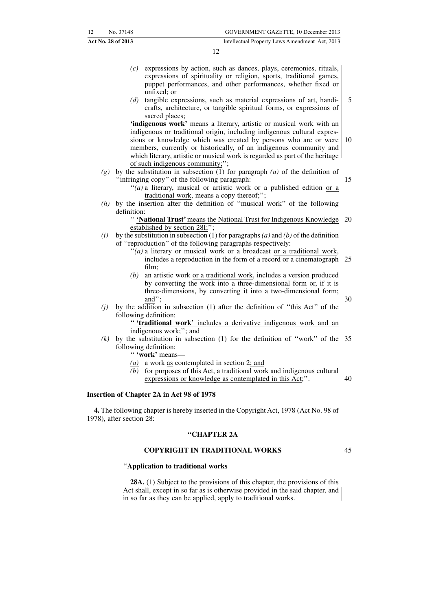12

- *(c)* expressions by action, such as dances, plays, ceremonies, rituals, expressions of spirituality or religion, sports, traditional games, puppet performances, and other performances, whether fixed or unfixed; or
- *(d)* tangible expressions, such as material expressions of art, handicrafts, architecture, or tangible spiritual forms, or expressions of sacred places; 5

**'indigenous work'** means a literary, artistic or musical work with an indigenous or traditional origin, including indigenous cultural expressions or knowledge which was created by persons who are or were members, currently or historically, of an indigenous community and which literary, artistic or musical work is regarded as part of the heritage of such indigenous community;''; 10

*(g)* by the substitution in subsection (1) for paragraph *(a)* of the definition of ''infringing copy'' of the following paragraph:

"(*a*) a literary, musical or artistic work or a published edition or a traditional work, means a copy thereof;'';

*(h)* by the insertion after the definition of ''musical work'' of the following definition:

> '' **'National Trust'** means the National Trust for Indigenous Knowledge 20 established by section 28I;'';

- *(i)* by the substitution in subsection (1) for paragraphs *(a)* and *(b)* of the definition of ''reproduction'' of the following paragraphs respectively:
	- ''*(a)* a literary or musical work or a broadcast or a traditional work, includes a reproduction in the form of a record or a cinematograph 25 film;
	- *(b)* an artistic work or a traditional work, includes a version produced by converting the work into a three-dimensional form or, if it is three-dimensions, by converting it into a two-dimensional form; and'';
- *(j)* by the addition in subsection (1) after the definition of ''this Act'' of the following definition:
	- "**'traditional work'** includes a derivative indigenous work and an indigenous work;''; and
- $(k)$  by the substitution in subsection  $(1)$  for the definition of "work" of the 35 following definition:
	- '' **'work'** means—
	- *(a)* a work as contemplated in section 2; and
	- *(b)* for purposes of this Act, a traditional work and indigenous cultural expressions or knowledge as contemplated in this Act;''. 40

#### **Insertion of Chapter 2A in Act 98 of 1978**

**4.** The following chapter is hereby inserted in the Copyright Act, 1978 (Act No. 98 of 1978), after section 28:

# **''CHAPTER 2A**

# **COPYRIGHT IN TRADITIONAL WORKS**

45

15

30

# ''**Application to traditional works**

**28A.** (1) Subject to the provisions of this chapter, the provisions of this Act shall, except in so far as is otherwise provided in the said chapter, and in so far as they can be applied, apply to traditional works.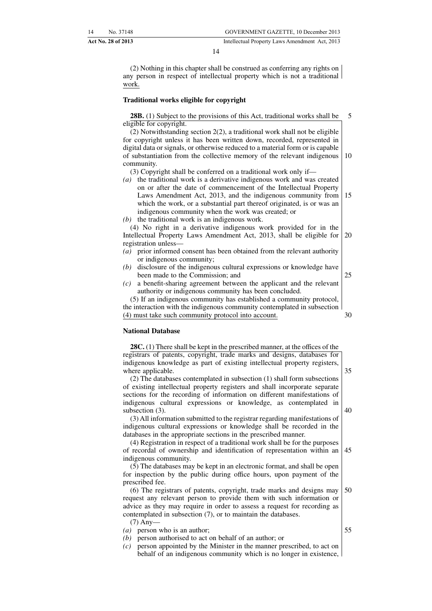14

(2) Nothing in this chapter shall be construed as conferring any rights on any person in respect of intellectual property which is not a traditional work.

# **Traditional works eligible for copyright**

**28B.** (1) Subject to the provisions of this Act, traditional works shall be eligible for copyright. 5

(2) Notwithstanding section 2(2), a traditional work shall not be eligible for copyright unless it has been written down, recorded, represented in digital data or signals, or otherwise reduced to a material form or is capable of substantiation from the collective memory of the relevant indigenous community. 10

(3) Copyright shall be conferred on a traditional work only if—

- *(a)* the traditional work is a derivative indigenous work and was created on or after the date of commencement of the Intellectual Property Laws Amendment Act, 2013, and the indigenous community from which the work, or a substantial part thereof originated, is or was an indigenous community when the work was created; or 15
- *(b)* the traditional work is an indigenous work.

(4) No right in a derivative indigenous work provided for in the Intellectual Property Laws Amendment Act, 2013, shall be eligible for registration unless— 20

- *(a)* prior informed consent has been obtained from the relevant authority or indigenous community;
- *(b)* disclosure of the indigenous cultural expressions or knowledge have been made to the Commission; and 25
- *(c)* a benefit-sharing agreement between the applicant and the relevant authority or indigenous community has been concluded.

(5) If an indigenous community has established a community protocol, the interaction with the indigenous community contemplated in subsection (4) must take such community protocol into account. 30

#### **National Database**

**28C.** (1) There shall be kept in the prescribed manner, at the offices of the registrars of patents, copyright, trade marks and designs, databases for indigenous knowledge as part of existing intellectual property registers, where applicable.

(2) The databases contemplated in subsection (1) shall form subsections of existing intellectual property registers and shall incorporate separate sections for the recording of information on different manifestations of indigenous cultural expressions or knowledge, as contemplated in subsection (3).

(3) All information submitted to the registrar regarding manifestations of indigenous cultural expressions or knowledge shall be recorded in the databases in the appropriate sections in the prescribed manner.

(4) Registration in respect of a traditional work shall be for the purposes of recordal of ownership and identification of representation within an indigenous community. 45

(5) The databases may be kept in an electronic format, and shall be open for inspection by the public during office hours, upon payment of the prescribed fee.

(6) The registrars of patents, copyright, trade marks and designs may request any relevant person to provide them with such information or advice as they may require in order to assess a request for recording as contemplated in subsection (7), or to maintain the databases. 50

(7) Any—

- *(a)* person who is an author;
- *(b)* person authorised to act on behalf of an author; or
- *(c)* person appointed by the Minister in the manner prescribed, to act on behalf of an indigenous community which is no longer in existence,

35

40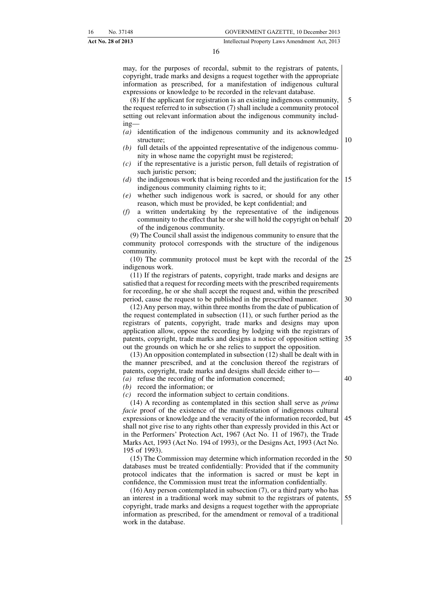may, for the purposes of recordal, submit to the registrars of patents, copyright, trade marks and designs a request together with the appropriate information as prescribed, for a manifestation of indigenous cultural expressions or knowledge to be recorded in the relevant database.

(8) If the applicant for registration is an existing indigenous community, the request referred to in subsection (7) shall include a community protocol setting out relevant information about the indigenous community including— 5

- *(a)* identification of the indigenous community and its acknowledged structure;
- *(b)* full details of the appointed representative of the indigenous community in whose name the copyright must be registered;
- *(c)* if the representative is a juristic person, full details of registration of such juristic person;
- *(d)* the indigenous work that is being recorded and the justification for the indigenous community claiming rights to it; 15
- *(e)* whether such indigenous work is sacred, or should for any other reason, which must be provided, be kept confidential; and
- *(f)* a written undertaking by the representative of the indigenous community to the effect that he or she will hold the copyright on behalf of the indigenous community. 20

(9) The Council shall assist the indigenous community to ensure that the community protocol corresponds with the structure of the indigenous community.

(10) The community protocol must be kept with the recordal of the indigenous work. 25

(11) If the registrars of patents, copyright, trade marks and designs are satisfied that a request for recording meets with the prescribed requirements for recording, he or she shall accept the request and, within the prescribed period, cause the request to be published in the prescribed manner.

(12) Any person may, within three months from the date of publication of the request contemplated in subsection (11), or such further period as the registrars of patents, copyright, trade marks and designs may upon application allow, oppose the recording by lodging with the registrars of patents, copyright, trade marks and designs a notice of opposition setting out the grounds on which he or she relies to support the opposition. 35

(13) An opposition contemplated in subsection (12) shall be dealt with in the manner prescribed, and at the conclusion thereof the registrars of patents, copyright, trade marks and designs shall decide either to— *(a)* refuse the recording of the information concerned;

*(b)* record the information; or

*(c)* record the information subject to certain conditions.

(14) A recording as contemplated in this section shall serve as *prima facie* proof of the existence of the manifestation of indigenous cultural expressions or knowledge and the veracity of the information recorded, but shall not give rise to any rights other than expressly provided in this Act or in the Performers' Protection Act, 1967 (Act No. 11 of 1967), the Trade Marks Act, 1993 (Act No. 194 of 1993), or the Designs Act, 1993 (Act No. 195 of 1993). 45

(15) The Commission may determine which information recorded in the databases must be treated confidentially: Provided that if the community protocol indicates that the information is sacred or must be kept in confidence, the Commission must treat the information confidentially. 50

(16) Any person contemplated in subsection (7), or a third party who has an interest in a traditional work may submit to the registrars of patents, copyright, trade marks and designs a request together with the appropriate information as prescribed, for the amendment or removal of a traditional work in the database. 55

30

10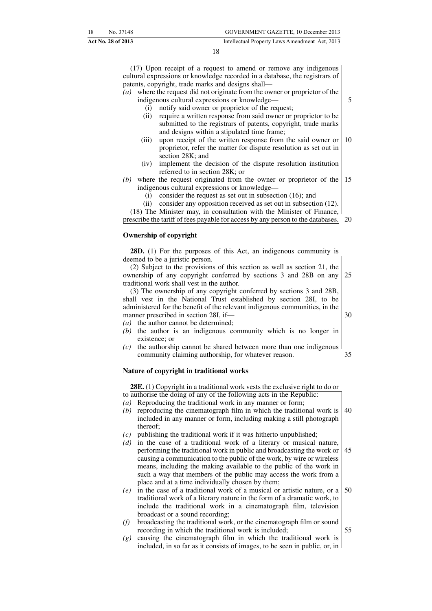(17) Upon receipt of a request to amend or remove any indigenous cultural expressions or knowledge recorded in a database, the registrars of patents, copyright, trade marks and designs shall—

- *(a)* where the request did not originate from the owner or proprietor of the indigenous cultural expressions or knowledge—
	- (i) notify said owner or proprietor of the request;
	- (ii) require a written response from said owner or proprietor to be submitted to the registrars of patents, copyright, trade marks and designs within a stipulated time frame;
	- (iii) upon receipt of the written response from the said owner or proprietor, refer the matter for dispute resolution as set out in section 28K; and 10
	- (iv) implement the decision of the dispute resolution institution referred to in section 28K; or
- *(b)* where the request originated from the owner or proprietor of the indigenous cultural expressions or knowledge— 15
	- (i) consider the request as set out in subsection (16); and
	- (ii) consider any opposition received as set out in subsection (12).

(18) The Minister may, in consultation with the Minister of Finance, prescribe the tariff of fees payable for access by any person to the databases. 20

# **Ownership of copyright**

**28D.** (1) For the purposes of this Act, an indigenous community is deemed to be a juristic person.

(2) Subject to the provisions of this section as well as section 21, the ownership of any copyright conferred by sections 3 and 28B on any traditional work shall vest in the author. 25

(3) The ownership of any copyright conferred by sections 3 and 28B, shall vest in the National Trust established by section 28I, to be administered for the benefit of the relevant indigenous communities, in the manner prescribed in section 28I, if—

30

5

- *(a)* the author cannot be determined;
- *(b)* the author is an indigenous community which is no longer in existence; or
- *(c)* the authorship cannot be shared between more than one indigenous community claiming authorship, for whatever reason. 35

# **Nature of copyright in traditional works**

**28E.** (1) Copyright in a traditional work vests the exclusive right to do or to authorise the doing of any of the following acts in the Republic: *(a)* Reproducing the traditional work in any manner or form;

- *(b)* reproducing the cinematograph film in which the traditional work is included in any manner or form, including making a still photograph thereof; 40
- *(c)* publishing the traditional work if it was hitherto unpublished;
- *(d)* in the case of a traditional work of a literary or musical nature, performing the traditional work in public and broadcasting the work or causing a communication to the public of the work, by wire or wireless means, including the making available to the public of the work in such a way that members of the public may access the work from a place and at a time individually chosen by them; 45
- *(e)* in the case of a traditional work of a musical or artistic nature, or a traditional work of a literary nature in the form of a dramatic work, to include the traditional work in a cinematograph film, television broadcast or a sound recording; 50
- *(f)* broadcasting the traditional work, or the cinematograph film or sound recording in which the traditional work is included; 55
- *(g)* causing the cinematograph film in which the traditional work is included, in so far as it consists of images, to be seen in public, or, in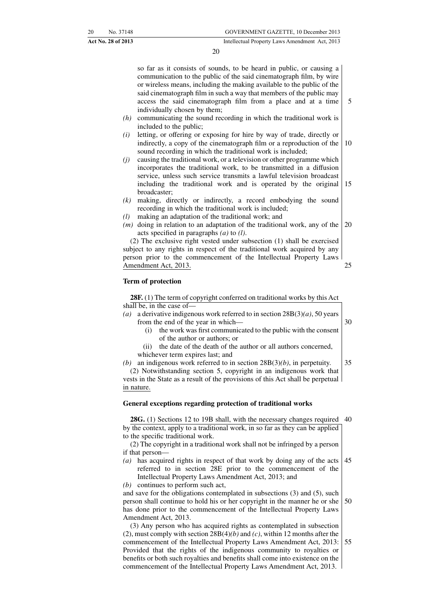20

so far as it consists of sounds, to be heard in public, or causing a communication to the public of the said cinematograph film, by wire or wireless means, including the making available to the public of the said cinematograph film in such a way that members of the public may access the said cinematograph film from a place and at a time individually chosen by them;

- *(h)* communicating the sound recording in which the traditional work is included to the public;
- *(i)* letting, or offering or exposing for hire by way of trade, directly or indirectly, a copy of the cinematograph film or a reproduction of the sound recording in which the traditional work is included; 10
- *(j)* causing the traditional work, or a television or other programme which incorporates the traditional work, to be transmitted in a diffusion service, unless such service transmits a lawful television broadcast including the traditional work and is operated by the original broadcaster; 15
- *(k)* making, directly or indirectly, a record embodying the sound recording in which the traditional work is included;
- *(l)* making an adaptation of the traditional work; and
- *(m)* doing in relation to an adaptation of the traditional work, any of the acts specified in paragraphs *(a)* to *(l)*. 20

(2) The exclusive right vested under subsection (1) shall be exercised subject to any rights in respect of the traditional work acquired by any person prior to the commencement of the Intellectual Property Laws Amendment Act, 2013. 25

# **Term of protection**

**28F.** (1) The term of copyright conferred on traditional works by this Act shall be, in the case of—

- *(a)* a derivative indigenous work referred to in section 28B(3)*(a)*, 50 years from the end of the year in which—
	- (i) the work was first communicated to the public with the consent of the author or authors; or
	- (ii) the date of the death of the author or all authors concerned,

whichever term expires last; and

35

30

5

*(b)* an indigenous work referred to in section 28B(3)*(b)*, in perpetuity. (2) Notwithstanding section 5, copyright in an indigenous work that vests in the State as a result of the provisions of this Act shall be perpetual in nature.

# **General exceptions regarding protection of traditional works**

**28G.** (1) Sections 12 to 19B shall, with the necessary changes required 40 by the context, apply to a traditional work, in so far as they can be applied to the specific traditional work.

(2) The copyright in a traditional work shall not be infringed by a person if that person—

*(a)* has acquired rights in respect of that work by doing any of the acts referred to in section 28E prior to the commencement of the Intellectual Property Laws Amendment Act, 2013; and 45

*(b)* continues to perform such act,

and save for the obligations contemplated in subsections (3) and (5), such person shall continue to hold his or her copyright in the manner he or she has done prior to the commencement of the Intellectual Property Laws Amendment Act, 2013. 50

(3) Any person who has acquired rights as contemplated in subsection (2), must comply with section 28B(4)*(b)* and *(c)*, within 12 months after the commencement of the Intellectual Property Laws Amendment Act, 2013: Provided that the rights of the indigenous community to royalties or benefits or both such royalties and benefits shall come into existence on the commencement of the Intellectual Property Laws Amendment Act, 2013. 55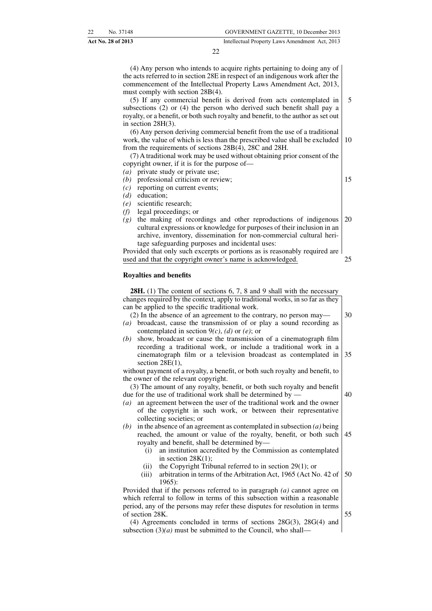15

(4) Any person who intends to acquire rights pertaining to doing any of the acts referred to in section 28E in respect of an indigenous work after the commencement of the Intellectual Property Laws Amendment Act, 2013, must comply with section 28B(4).

(5) If any commercial benefit is derived from acts contemplated in subsections (2) or (4) the person who derived such benefit shall pay a royalty, or a benefit, or both such royalty and benefit, to the author as set out in section 28H(3). 5

(6) Any person deriving commercial benefit from the use of a traditional work, the value of which is less than the prescribed value shall be excluded from the requirements of sections 28B(4), 28C and 28H. 10

(7) A traditional work may be used without obtaining prior consent of the copyright owner, if it is for the purpose of—

*(a)* private study or private use;

- *(b)* professional criticism or review;
- *(c)* reporting on current events;
- *(d)* education;
- *(e)* scientific research;
- *(f)* legal proceedings; or
- *(g)* the making of recordings and other reproductions of indigenous cultural expressions or knowledge for purposes of their inclusion in an archive, inventory, dissemination for non-commercial cultural heritage safeguarding purposes and incidental uses: 20

Provided that only such excerpts or portions as is reasonably required are used and that the copyright owner's name is acknowledged. 25

# **Royalties and benefits**

**28H.** (1) The content of sections 6, 7, 8 and 9 shall with the necessary changes required by the context, apply to traditional works, in so far as they can be applied to the specific traditional work. (2) In the absence of an agreement to the contrary, no person may— *(a)* broadcast, cause the transmission of or play a sound recording as contemplated in section 9*(c)*, *(d)* or *(e)*; or *(b)* show, broadcast or cause the transmission of a cinematograph film recording a traditional work, or include a traditional work in a cinematograph film or a television broadcast as contemplated in section 28E(1), without payment of a royalty, a benefit, or both such royalty and benefit, to the owner of the relevant copyright. (3) The amount of any royalty, benefit, or both such royalty and benefit due for the use of traditional work shall be determined by -*(a)* an agreement between the user of the traditional work and the owner of the copyright in such work, or between their representative collecting societies; or *(b)* in the absence of an agreement as contemplated in subsection *(a)* being reached, the amount or value of the royalty, benefit, or both such royalty and benefit, shall be determined by— (i) an institution accredited by the Commission as contemplated in section 28K(1); (ii) the Copyright Tribunal referred to in section 29(1); or (iii) arbitration in terms of the Arbitration Act, 1965 (Act No. 42 of  $1965$ Provided that if the persons referred to in paragraph *(a)* cannot agree on which referral to follow in terms of this subsection within a reasonable period, any of the persons may refer these disputes for resolution in terms of section 28K. (4) Agreements concluded in terms of sections 28G(3), 28G(4) and subsection  $(3)(a)$  must be submitted to the Council, who shall— 30 35 40 45 50 55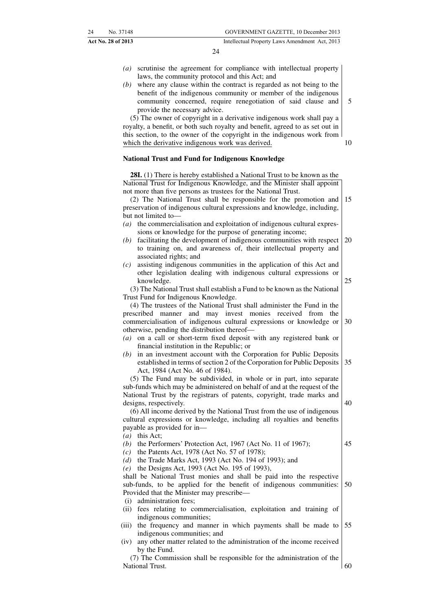- 24
- *(a)* scrutinise the agreement for compliance with intellectual property laws, the community protocol and this Act; and
- *(b)* where any clause within the contract is regarded as not being to the benefit of the indigenous community or member of the indigenous community concerned, require renegotiation of said clause and provide the necessary advice.

(5) The owner of copyright in a derivative indigenous work shall pay a royalty, a benefit, or both such royalty and benefit, agreed to as set out in this section, to the owner of the copyright in the indigenous work from which the derivative indigenous work was derived.

# **National Trust and Fund for Indigenous Knowledge**

**28I.** (1) There is hereby established a National Trust to be known as the National Trust for Indigenous Knowledge, and the Minister shall appoint not more than five persons as trustees for the National Trust.

| (2) The National Trust shall be responsible for the promotion and             | 15 |
|-------------------------------------------------------------------------------|----|
| preservation of indigenous cultural expressions and knowledge, including,     |    |
| but not limited to-                                                           |    |
| the commercialisation and exploitation of indigenous cultural expres-<br>(a)  |    |
| sions or knowledge for the purpose of generating income;                      |    |
| facilitating the development of indigenous communities with respect<br>(b)    | 20 |
| to training on, and awareness of, their intellectual property and             |    |
| associated rights; and                                                        |    |
| assisting indigenous communities in the application of this Act and<br>(c)    |    |
| other legislation dealing with indigenous cultural expressions or             |    |
| knowledge.                                                                    | 25 |
| (3) The National Trust shall establish a Fund to be known as the National     |    |
| Trust Fund for Indigenous Knowledge.                                          |    |
| (4) The trustees of the National Trust shall administer the Fund in the       |    |
| prescribed manner and may invest monies received<br>from<br>the               |    |
| commercialisation of indigenous cultural expressions or knowledge or          | 30 |
|                                                                               |    |
| otherwise, pending the distribution thereof-                                  |    |
| $(a)$ on a call or short-term fixed deposit with any registered bank or       |    |
| financial institution in the Republic; or                                     |    |
| in an investment account with the Corporation for Public Deposits<br>(b)      |    |
| established in terms of section 2 of the Corporation for Public Deposits      | 35 |
| Act, 1984 (Act No. 46 of 1984).                                               |    |
| (5) The Fund may be subdivided, in whole or in part, into separate            |    |
| sub-funds which may be administered on behalf of and at the request of the    |    |
| National Trust by the registrars of patents, copyright, trade marks and       |    |
| designs, respectively.                                                        | 40 |
| (6) All income derived by the National Trust from the use of indigenous       |    |
| cultural expressions or knowledge, including all royalties and benefits       |    |
| payable as provided for in-                                                   |    |
| $(a)$ this Act;                                                               |    |
| (b) the Performers' Protection Act, 1967 (Act No. 11 of 1967);                | 45 |
| the Patents Act, 1978 (Act No. 57 of 1978);<br>(c)                            |    |
| (d) the Trade Marks Act, 1993 (Act No. 194 of 1993); and                      |    |
| (e) the Designs Act, 1993 (Act No. 195 of 1993),                              |    |
| shall be National Trust monies and shall be paid into the respective          |    |
| sub-funds, to be applied for the benefit of indigenous communities:           | 50 |
| Provided that the Minister may prescribe—                                     |    |
| administration fees;<br>(i)                                                   |    |
| fees relating to commercialisation, exploitation and training of<br>(ii)      |    |
| indigenous communities;                                                       |    |
| the frequency and manner in which payments shall be made to<br>(iii)          | 55 |
| indigenous communities; and                                                   |    |
| any other matter related to the administration of the income received<br>(iv) |    |
| by the Fund.                                                                  |    |
| (7) The Commission shall be responsible for the administration of the         |    |
| National Trust.                                                               | 60 |
|                                                                               |    |

5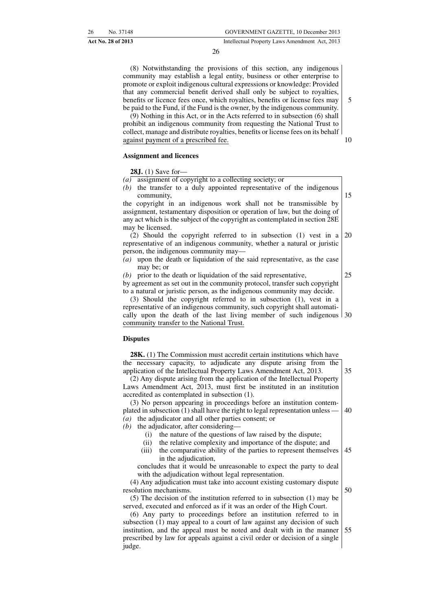5

10

15

25

50

**Act No. 28 of 2013** Intellectual Property Laws Amendment Act, 2013

26

(8) Notwithstanding the provisions of this section, any indigenous community may establish a legal entity, business or other enterprise to promote or exploit indigenous cultural expressions or knowledge: Provided that any commercial benefit derived shall only be subject to royalties, benefits or licence fees once, which royalties, benefits or license fees may be paid to the Fund, if the Fund is the owner, by the indigenous community.

(9) Nothing in this Act, or in the Acts referred to in subsection (6) shall prohibit an indigenous community from requesting the National Trust to collect, manage and distribute royalties, benefits or license fees on its behalf against payment of a prescribed fee.

#### **Assignment and licences**

**28J.** (1) Save for—

- *(a)* assignment of copyright to a collecting society; or
- *(b)* the transfer to a duly appointed representative of the indigenous community,

the copyright in an indigenous work shall not be transmissible by assignment, testamentary disposition or operation of law, but the doing of any act which is the subject of the copyright as contemplated in section 28E may be licensed.

(2) Should the copyright referred to in subsection (1) vest in a representative of an indigenous community, whether a natural or juristic person, the indigenous community may— 20

- *(a)* upon the death or liquidation of the said representative, as the case may be; or
- *(b)* prior to the death or liquidation of the said representative, by agreement as set out in the community protocol, transfer such copyright to a natural or juristic person, as the indigenous community may decide.

(3) Should the copyright referred to in subsection (1), vest in a representative of an indigenous community, such copyright shall automatically upon the death of the last living member of such indigenous 30 community transfer to the National Trust.

# **Disputes**

**28K.** (1) The Commission must accredit certain institutions which have the necessary capacity, to adjudicate any dispute arising from the application of the Intellectual Property Laws Amendment Act, 2013. (2) Any dispute arising from the application of the Intellectual Property 35

Laws Amendment Act, 2013, must first be instituted in an institution accredited as contemplated in subsection (1).

(3) No person appearing in proceedings before an institution contemplated in subsection (1) shall have the right to legal representation unless — *(a)* the adjudicator and all other parties consent; or 40

*(b)* the adjudicator, after considering—

- (i) the nature of the questions of law raised by the dispute;
- (ii) the relative complexity and importance of the dispute; and
- (iii) the comparative ability of the parties to represent themselves in the adjudication, 45

concludes that it would be unreasonable to expect the party to deal with the adjudication without legal representation.

(4) Any adjudication must take into account existing customary dispute resolution mechanisms.

(5) The decision of the institution referred to in subsection (1) may be served, executed and enforced as if it was an order of the High Court.

(6) Any party to proceedings before an institution referred to in subsection (1) may appeal to a court of law against any decision of such institution, and the appeal must be noted and dealt with in the manner prescribed by law for appeals against a civil order or decision of a single judge. 55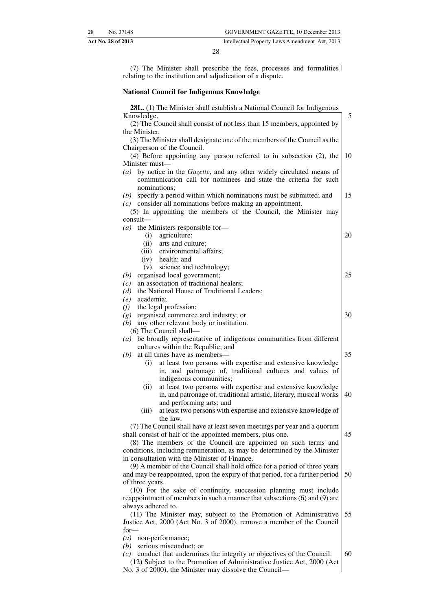28

(7) The Minister shall prescribe the fees, processes and formalities relating to the institution and adjudication of a dispute.

# **National Council for Indigenous Knowledge**

| 28L. (1) The Minister shall establish a National Council for Indigenous                                                                   |    |
|-------------------------------------------------------------------------------------------------------------------------------------------|----|
| Knowledge.<br>(2) The Council shall consist of not less than 15 members, appointed by                                                     | 5  |
| the Minister.                                                                                                                             |    |
| (3) The Minister shall designate one of the members of the Council as the                                                                 |    |
| Chairperson of the Council.                                                                                                               |    |
| (4) Before appointing any person referred to in subsection (2), the                                                                       | 10 |
| Minister must—                                                                                                                            |    |
| (a) by notice in the Gazette, and any other widely circulated means of<br>communication call for nominees and state the criteria for such |    |
| nominations:                                                                                                                              |    |
| $(b)$ specify a period within which nominations must be submitted; and<br>$(c)$ consider all nominations before making an appointment.    | 15 |
| (5) In appointing the members of the Council, the Minister may                                                                            |    |
| consult-                                                                                                                                  |    |
| $(a)$ the Ministers responsible for-                                                                                                      |    |
| agriculture;<br>(i)                                                                                                                       | 20 |
| (ii) arts and culture;                                                                                                                    |    |
| (iii) environmental affairs;                                                                                                              |    |
| (iv) health; and                                                                                                                          |    |
| (v) science and technology;                                                                                                               |    |
| organised local government;<br>(b)                                                                                                        | 25 |
| an association of traditional healers;<br>(c)                                                                                             |    |
| the National House of Traditional Leaders;<br>(d)                                                                                         |    |
| academia;<br>(e)                                                                                                                          |    |
| the legal profession;<br>(f)                                                                                                              |    |
| organised commerce and industry; or<br>(g)<br>any other relevant body or institution.<br>(h)                                              | 30 |
| (6) The Council shall-                                                                                                                    |    |
| be broadly representative of indigenous communities from different<br>(a)                                                                 |    |
| cultures within the Republic; and                                                                                                         |    |
| at all times have as members—<br>(b)                                                                                                      | 35 |
| at least two persons with expertise and extensive knowledge<br>(i)                                                                        |    |
| in, and patronage of, traditional cultures and values of                                                                                  |    |
| indigenous communities;                                                                                                                   |    |
| at least two persons with expertise and extensive knowledge<br>(ii)                                                                       |    |
| in, and patronage of, traditional artistic, literary, musical works                                                                       | 40 |
| and performing arts; and                                                                                                                  |    |
| at least two persons with expertise and extensive knowledge of<br>(iii)                                                                   |    |
| the law.                                                                                                                                  |    |
| (7) The Council shall have at least seven meetings per year and a quorum<br>shall consist of half of the appointed members, plus one.     | 45 |
| (8) The members of the Council are appointed on such terms and                                                                            |    |
| conditions, including remuneration, as may be determined by the Minister                                                                  |    |
| in consultation with the Minister of Finance.                                                                                             |    |
| (9) A member of the Council shall hold office for a period of three years                                                                 |    |
| and may be reappointed, upon the expiry of that period, for a further period                                                              | 50 |
| of three years.                                                                                                                           |    |
| (10) For the sake of continuity, succession planning must include                                                                         |    |
| reappointment of members in such a manner that subsections (6) and (9) are                                                                |    |
| always adhered to.                                                                                                                        |    |
| (11) The Minister may, subject to the Promotion of Administrative                                                                         | 55 |
| Justice Act, 2000 (Act No. 3 of 2000), remove a member of the Council                                                                     |    |
| $for-$<br>(a)<br>non-performance;                                                                                                         |    |
| $(b)$ serious misconduct; or                                                                                                              |    |
| $(c)$ conduct that undermines the integrity or objectives of the Council.                                                                 | 60 |
| (12) Subject to the Promotion of Administrative Justice Act, 2000 (Act                                                                    |    |
| No. 3 of 2000), the Minister may dissolve the Council—                                                                                    |    |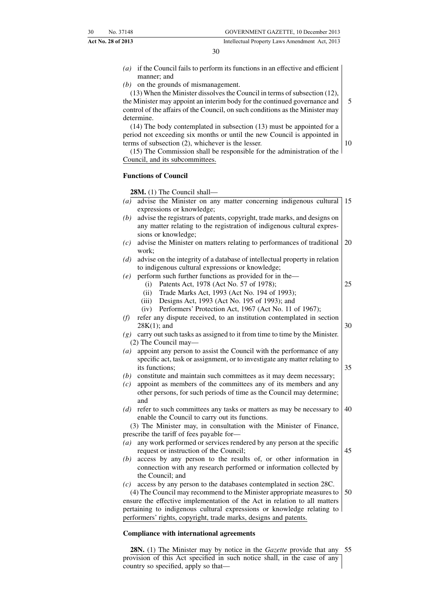10

30

- *(a)* if the Council fails to perform its functions in an effective and efficient manner; and
- *(b)* on the grounds of mismanagement.

(13) When the Minister dissolves the Council in terms of subsection (12), the Minister may appoint an interim body for the continued governance and control of the affairs of the Council, on such conditions as the Minister may determine. 5

(14) The body contemplated in subsection (13) must be appointed for a period not exceeding six months or until the new Council is appointed in terms of subsection (2), whichever is the lesser.

(15) The Commission shall be responsible for the administration of the Council, and its subcommittees.

# **Functions of Council**

**28M.** (1) The Council shall—

| $\left(a\right)$ | advise the Minister on any matter concerning indigenous cultural<br>expressions or knowledge;                                                                                                                                                                                                      | 15 |
|------------------|----------------------------------------------------------------------------------------------------------------------------------------------------------------------------------------------------------------------------------------------------------------------------------------------------|----|
| (b)              | advise the registrars of patents, copyright, trade marks, and designs on<br>any matter relating to the registration of indigenous cultural expres-<br>sions or knowledge;                                                                                                                          |    |
| (c)              | advise the Minister on matters relating to performances of traditional<br>work;                                                                                                                                                                                                                    | 20 |
| (d)              | advise on the integrity of a database of intellectual property in relation<br>to indigenous cultural expressions or knowledge;                                                                                                                                                                     |    |
| (e)              | perform such further functions as provided for in the-<br>Patents Act, 1978 (Act No. 57 of 1978);<br>(i)<br>Trade Marks Act, 1993 (Act No. 194 of 1993);<br>(ii)<br>Designs Act, 1993 (Act No. 195 of 1993); and<br>(iii)<br>Performers' Protection Act, 1967 (Act No. 11 of 1967);<br>(iv)        | 25 |
| (f)              | refer any dispute received, to an institution contemplated in section<br>$28K(1)$ ; and                                                                                                                                                                                                            | 30 |
| (g)              | carry out such tasks as assigned to it from time to time by the Minister.<br>(2) The Council may—                                                                                                                                                                                                  |    |
| (a)              | appoint any person to assist the Council with the performance of any<br>specific act, task or assignment, or to investigate any matter relating to<br>its functions;                                                                                                                               | 35 |
| (b)<br>(c)       | constitute and maintain such committees as it may deem necessary;<br>appoint as members of the committees any of its members and any<br>other persons, for such periods of time as the Council may determine;<br>and                                                                               |    |
| (d)              | refer to such committees any tasks or matters as may be necessary to<br>enable the Council to carry out its functions.<br>(3) The Minister may, in consultation with the Minister of Finance,                                                                                                      | 40 |
| (a)              | prescribe the tariff of fees payable for-<br>any work performed or services rendered by any person at the specific<br>request or instruction of the Council;                                                                                                                                       | 45 |
| (b)              | access by any person to the results of, or other information in<br>connection with any research performed or information collected by<br>the Council; and                                                                                                                                          |    |
| (c)              | access by any person to the databases contemplated in section 28C.<br>(4) The Council may recommend to the Minister appropriate measures to<br>ensure the effective implementation of the Act in relation to all matters<br>pertaining to indigenous cultural expressions or knowledge relating to | 50 |
|                  | performers' rights, copyright, trade marks, designs and patents.                                                                                                                                                                                                                                   |    |
|                  |                                                                                                                                                                                                                                                                                                    |    |

# **Compliance with international agreements**

**28N.** (1) The Minister may by notice in the *Gazette* provide that any 55provision of this Act specified in such notice shall, in the case of any country so specified, apply so that—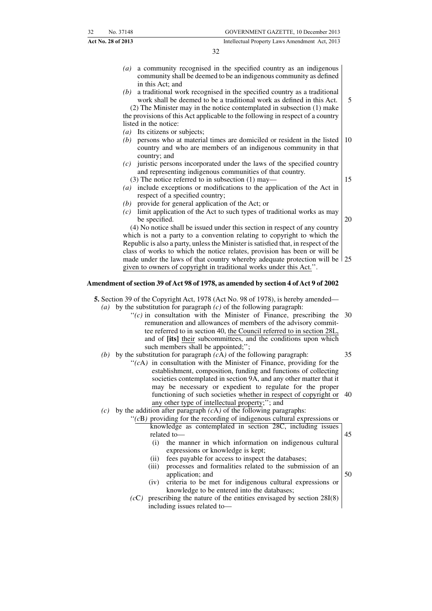| Act No. 28 of 2013 | $\left( a\right)$ |                                                                                                                                          |    |
|--------------------|-------------------|------------------------------------------------------------------------------------------------------------------------------------------|----|
|                    |                   | Intellectual Property Laws Amendment Act, 2013                                                                                           |    |
|                    |                   | 32                                                                                                                                       |    |
|                    |                   |                                                                                                                                          |    |
|                    |                   | a community recognised in the specified country as an indigenous                                                                         |    |
|                    |                   | community shall be deemed to be an indigenous community as defined                                                                       |    |
|                    |                   | in this Act; and                                                                                                                         |    |
|                    |                   | $(b)$ a traditional work recognised in the specified country as a traditional                                                            |    |
|                    |                   | work shall be deemed to be a traditional work as defined in this Act.                                                                    | 5  |
|                    |                   | (2) The Minister may in the notice contemplated in subsection (1) make                                                                   |    |
|                    |                   | the provisions of this Act applicable to the following in respect of a country                                                           |    |
|                    |                   | listed in the notice:                                                                                                                    |    |
|                    |                   | $(a)$ Its citizens or subjects;                                                                                                          |    |
|                    |                   | $(b)$ persons who at material times are domiciled or resident in the listed                                                              | 10 |
|                    |                   | country and who are members of an indigenous community in that                                                                           |    |
|                    |                   | country; and                                                                                                                             |    |
|                    | (c)               | juristic persons incorporated under the laws of the specified country                                                                    |    |
|                    |                   | and representing indigenous communities of that country.                                                                                 |    |
|                    |                   | $(3)$ The notice referred to in subsection $(1)$ may—                                                                                    | 15 |
|                    |                   | $(a)$ include exceptions or modifications to the application of the Act in                                                               |    |
|                    |                   | respect of a specified country;                                                                                                          |    |
|                    |                   | $(b)$ provide for general application of the Act; or                                                                                     |    |
|                    |                   | $(c)$ limit application of the Act to such types of traditional works as may                                                             |    |
|                    |                   | be specified.                                                                                                                            | 20 |
|                    |                   | (4) No notice shall be issued under this section in respect of any country                                                               |    |
|                    |                   | which is not a party to a convention relating to copyright to which the                                                                  |    |
|                    |                   | Republic is also a party, unless the Minister is satisfied that, in respect of the                                                       |    |
|                    |                   | class of works to which the notice relates, provision has been or will be                                                                |    |
|                    |                   | made under the laws of that country whereby adequate protection will be $\frac{125}{25}$                                                 |    |
|                    |                   | given to owners of copyright in traditional works under this Act.".                                                                      |    |
|                    |                   |                                                                                                                                          |    |
|                    |                   | Amendment of section 39 of Act 98 of 1978, as amended by section 4 of Act 9 of 2002                                                      |    |
|                    |                   |                                                                                                                                          |    |
|                    |                   | 5. Section 39 of the Copyright Act, 1978 (Act No. 98 of 1978), is hereby amended—                                                        |    |
|                    |                   | (a) by the substitution for paragraph $(c)$ of the following paragraph:                                                                  |    |
|                    |                   | " $(c)$ in consultation with the Minister of Finance, prescribing the                                                                    | 30 |
|                    |                   | remuneration and allowances of members of the advisory commit-                                                                           |    |
|                    |                   | tee referred to in section 40, the Council referred to in section 28L,                                                                   |    |
|                    |                   | and of [its] their subcommittees, and the conditions upon which                                                                          |    |
|                    |                   | such members shall be appointed;";                                                                                                       |    |
|                    |                   |                                                                                                                                          |    |
|                    |                   | (b) by the substitution for paragraph $(cA)$ of the following paragraph:                                                                 | 35 |
|                    |                   | " $(cA)$ in consultation with the Minister of Finance, providing for the                                                                 |    |
|                    |                   | establishment, composition, funding and functions of collecting                                                                          |    |
|                    |                   | societies contemplated in section 9A, and any other matter that it                                                                       |    |
|                    |                   | may be necessary or expedient to regulate for the proper                                                                                 |    |
|                    |                   | functioning of such societies whether in respect of copyright or                                                                         | 40 |
|                    |                   |                                                                                                                                          |    |
|                    |                   | any other type of intellectual property;"; and<br>(c) by the addition after paragraph $(cA)$ of the following paragraphs:                |    |
|                    |                   |                                                                                                                                          |    |
|                    |                   | " $(cB)$ providing for the recording of indigenous cultural expressions or<br>knowledge as contemplated in section 28C, including issues |    |
|                    |                   | related to-                                                                                                                              | 45 |
|                    |                   | the manner in which information on indigenous cultural<br>(i)                                                                            |    |
|                    |                   | expressions or knowledge is kept;                                                                                                        |    |
|                    |                   | fees payable for access to inspect the databases;<br>(ii)                                                                                |    |
|                    |                   | processes and formalities related to the submission of an<br>(iii)                                                                       |    |
|                    |                   |                                                                                                                                          | 50 |
|                    |                   | application; and<br>(iv)                                                                                                                 |    |
|                    |                   | criteria to be met for indigenous cultural expressions or                                                                                |    |
|                    |                   | knowledge to be entered into the databases;                                                                                              |    |
|                    | (cC)              | prescribing the nature of the entities envisaged by section 28I(8)<br>including issues related to-                                       |    |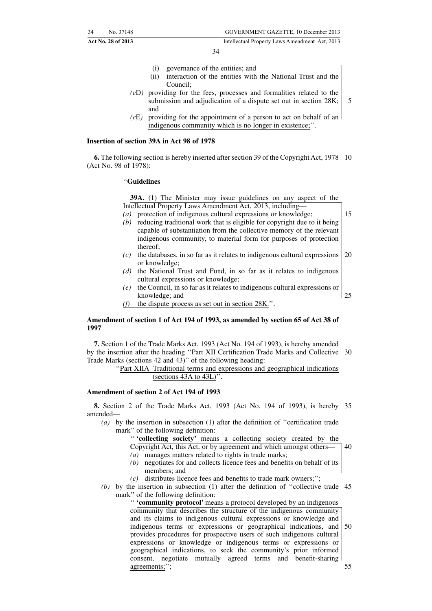5

15

25

34

- (i) governance of the entities; and
- (ii) interaction of the entities with the National Trust and the Council;
- *(c*D*)* providing for the fees, processes and formalities related to the submission and adjudication of a dispute set out in section 28K; and
- *(c*E*)* providing for the appointment of a person to act on behalf of an indigenous community which is no longer in existence;''.

# **Insertion of section 39A in Act 98 of 1978**

**6.** The following section is hereby inserted after section 39 of the Copyright Act, 1978 10 (Act No. 98 of 1978):

# ''**Guidelines**

**39A.** (1) The Minister may issue guidelines on any aspect of the Intellectual Property Laws Amendment Act, 2013, including—

- *(a)* protection of indigenous cultural expressions or knowledge;
- *(b)* reducing traditional work that is eligible for copyright due to it being capable of substantiation from the collective memory of the relevant indigenous community, to material form for purposes of protection thereof;
- *(c)* the databases, in so far as it relates to indigenous cultural expressions or knowledge; 20
- *(d)* the National Trust and Fund, in so far as it relates to indigenous cultural expressions or knowledge;
- *(e)* the Council, in so far as it relates to indigenous cultural expressions or knowledge; and
- *(f)* the dispute process as set out in section 28K.''.

# **Amendment of section 1 of Act 194 of 1993, as amended by section 65 of Act 38 of 1997**

**7.** Section 1 of the Trade Marks Act, 1993 (Act No. 194 of 1993), is hereby amended by the insertion after the heading ''Part XII Certification Trade Marks and Collective 30 Trade Marks (sections 42 and 43)'' of the following heading:

# ''Part XIIA Traditional terms and expressions and geographical indications (sections 43A to 43L)''.

#### **Amendment of section 2 of Act 194 of 1993**

**8.** Section 2 of the Trade Marks Act, 1993 (Act No. 194 of 1993), is hereby 35 amended—

- *(a)* by the insertion in subsection (1) after the definition of ''certification trade mark'' of the following definition:
	- '' **'collecting society'** means a collecting society created by the Copyright Act, this Act, or by agreement and which amongst others— *(a)* manages matters related to rights in trade marks; 40
	- *(b)* negotiates for and collects licence fees and benefits on behalf of its members; and
	- *(c)* distributes licence fees and benefits to trade mark owners;'';
- *(b)* by the insertion in subsection (1) after the definition of ''collective trade 45 mark'' of the following definition:
	- '' **'community protocol'** means a protocol developed by an indigenous community that describes the structure of the indigenous community and its claims to indigenous cultural expressions or knowledge and indigenous terms or expressions or geographical indications, and provides procedures for prospective users of such indigenous cultural expressions or knowledge or indigenous terms or expressions or geographical indications, to seek the community's prior informed consent, negotiate mutually agreed terms and benefit-sharing agreements;''; 50 55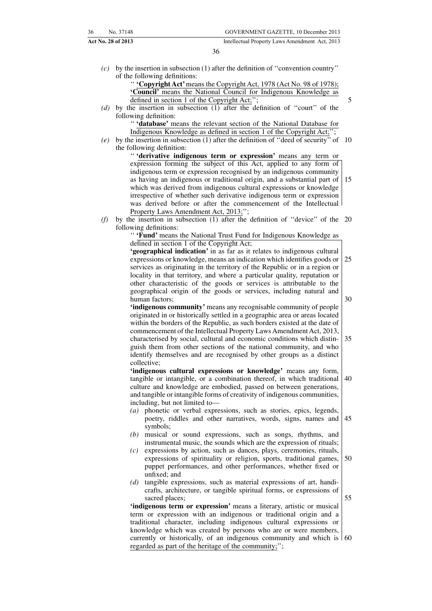| 36 | No. 37148 | GOVERNMENT GAZETTE, 10 December 2013 |  |
|----|-----------|--------------------------------------|--|
|    |           |                                      |  |

5

35

55

*(c)* by the insertion in subsection (1) after the definition of ''convention country'' of the following definitions:

| " 'Copyright Act' means the Copyright Act, 1978 (Act No. 98 of 1978); |
|-----------------------------------------------------------------------|
| 'Council' means the National Council for Indigenous Knowledge as      |
| defined in section 1 of the Copyright Act;";                          |

*(d)* by the insertion in subsection (1) after the definition of ''court'' of the following definition:

'' **'database'** means the relevant section of the National Database for Indigenous Knowledge as defined in section 1 of the Copyright Act;'';

*(e)* by the insertion in subsection (1) after the definition of ''deed of security'' of 10 the following definition:

> '' **'derivative indigenous term or expression'** means any term or expression forming the subject of this Act, applied to any form of indigenous term or expression recognised by an indigenous community as having an indigenous or traditional origin, and a substantial part of which was derived from indigenous cultural expressions or knowledge irrespective of whether such derivative indigenous term or expression was derived before or after the commencement of the Intellectual Property Laws Amendment Act, 2013;''; 15

*(f)* by the insertion in subsection (1) after the definition of ''device'' of the 20 following definitions:

'' **'Fund'** means the National Trust Fund for Indigenous Knowledge as defined in section 1 of the Copyright Act;

**'geographical indication'** in as far as it relates to indigenous cultural expressions or knowledge, means an indication which identifies goods or services as originating in the territory of the Republic or in a region or locality in that territory, and where a particular quality, reputation or other characteristic of the goods or services is attributable to the geographical origin of the goods or services, including natural and human factors; 25 30

**'indigenous community'** means any recognisable community of people originated in or historically settled in a geographic area or areas located within the borders of the Republic, as such borders existed at the date of commencement of the Intellectual Property Laws Amendment Act, 2013, characterised by social, cultural and economic conditions which distin-

guish them from other sections of the national community, and who identify themselves and are recognised by other groups as a distinct collective;

**'indigenous cultural expressions or knowledge'** means any form, tangible or intangible, or a combination thereof, in which traditional culture and knowledge are embodied, passed on between generations, and tangible or intangible forms of creativity of indigenous communities, including, but not limited to— 40

- *(a)* phonetic or verbal expressions, such as stories, epics, legends, poetry, riddles and other narratives, words, signs, names and symbols; 45
- *(b)* musical or sound expressions, such as songs, rhythms, and instrumental music, the sounds which are the expression of rituals;
- *(c)* expressions by action, such as dances, plays, ceremonies, rituals, expressions of spirituality or religion, sports, traditional games, puppet performances, and other performances, whether fixed or unfixed; and 50
- *(d)* tangible expressions, such as material expressions of art, handicrafts, architecture, or tangible spiritual forms, or expressions of sacred places;

**'indigenous term or expression'** means a literary, artistic or musical term or expression with an indigenous or traditional origin and a traditional character, including indigenous cultural expressions or knowledge which was created by persons who are or were members, currently or historically, of an indigenous community and which is 60regarded as part of the heritage of the community;'';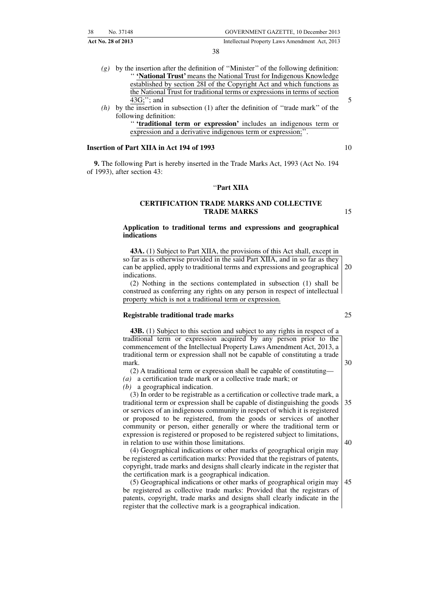| 38 | No. 37148 | GOVERNMENT GAZETTE. 10 December 2013 |  |
|----|-----------|--------------------------------------|--|
|    |           |                                      |  |

38

- *(g)* by the insertion after the definition of ''Minister'' of the following definition: '' **'National Trust'** means the National Trust for Indigenous Knowledge established by section 28I of the Copyright Act and which functions as the National Trust for traditional terms or expressions in terms of section  $\overline{43G;$ "; and
- *(h)* by the insertion in subsection (1) after the definition of ''trade mark'' of the following definition:

'' **'traditional term or expression'** includes an indigenous term or expression and a derivative indigenous term or expression;''.

# **Insertion of Part XIIA in Act 194 of 1993**

**9.** The following Part is hereby inserted in the Trade Marks Act, 1993 (Act No. 194 of 1993), after section 43:

# ''**Part XIIA**

# **CERTIFICATION TRADE MARKS AND COLLECTIVE TRADE MARKS**

# **Application to traditional terms and expressions and geographical indications**

**43A.** (1) Subject to Part XIIA, the provisions of this Act shall, except in so far as is otherwise provided in the said Part XIIA, and in so far as they can be applied, apply to traditional terms and expressions and geographical indications. 20

(2) Nothing in the sections contemplated in subsection (1) shall be construed as conferring any rights on any person in respect of intellectual property which is not a traditional term or expression.

#### **Registrable traditional trade marks**

**43B.** (1) Subject to this section and subject to any rights in respect of a traditional term or expression acquired by any person prior to the commencement of the Intellectual Property Laws Amendment Act, 2013, a traditional term or expression shall not be capable of constituting a trade mark.

(2) A traditional term or expression shall be capable of constituting— *(a)* a certification trade mark or a collective trade mark; or

*(b)* a geographical indication.

(3) In order to be registrable as a certification or collective trade mark, a traditional term or expression shall be capable of distinguishing the goods or services of an indigenous community in respect of which it is registered or proposed to be registered, from the goods or services of another community or person, either generally or where the traditional term or expression is registered or proposed to be registered subject to limitations, in relation to use within those limitations. 35 40

(4) Geographical indications or other marks of geographical origin may be registered as certification marks: Provided that the registrars of patents, copyright, trade marks and designs shall clearly indicate in the register that the certification mark is a geographical indication.

(5) Geographical indications or other marks of geographical origin may be registered as collective trade marks: Provided that the registrars of patents, copyright, trade marks and designs shall clearly indicate in the register that the collective mark is a geographical indication. 45

25

30

5

10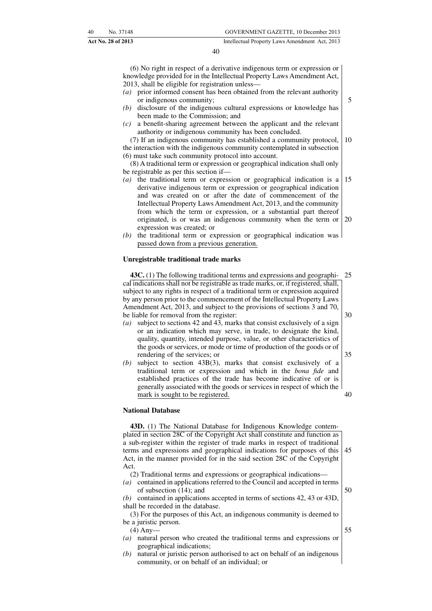(6) No right in respect of a derivative indigenous term or expression or knowledge provided for in the Intellectual Property Laws Amendment Act, 2013, shall be eligible for registration unless—

- *(a)* prior informed consent has been obtained from the relevant authority or indigenous community;
- *(b)* disclosure of the indigenous cultural expressions or knowledge has been made to the Commission; and
- *(c)* a benefit-sharing agreement between the applicant and the relevant authority or indigenous community has been concluded.

(7) If an indigenous community has established a community protocol, the interaction with the indigenous community contemplated in subsection (6) must take such community protocol into account. 10

(8) A traditional term or expression or geographical indication shall only be registrable as per this section if—

- *(a)* the traditional term or expression or geographical indication is a derivative indigenous term or expression or geographical indication and was created on or after the date of commencement of the Intellectual Property Laws Amendment Act, 2013, and the community from which the term or expression, or a substantial part thereof originated, is or was an indigenous community when the term or expression was created; or 15 20
- *(b)* the traditional term or expression or geographical indication was passed down from a previous generation.

# **Unregistrable traditional trade marks**

**43C.** (1) The following traditional terms and expressions and geographical indications shall not be registrable as trade marks, or, if registered, shall, subject to any rights in respect of a traditional term or expression acquired by any person prior to the commencement of the Intellectual Property Laws Amendment Act, 2013, and subject to the provisions of sections 3 and 70, be liable for removal from the register: 25 30

- *(a)* subject to sections 42 and 43, marks that consist exclusively of a sign or an indication which may serve, in trade, to designate the kind, quality, quantity, intended purpose, value, or other characteristics of the goods or services, or mode or time of production of the goods or of rendering of the services; or
- *(b)* subject to section 43B(3), marks that consist exclusively of a traditional term or expression and which in the *bona fide* and established practices of the trade has become indicative of or is generally associated with the goods or services in respect of which the mark is sought to be registered.

# **National Database**

**43D.** (1) The National Database for Indigenous Knowledge contemplated in section 28C of the Copyright Act shall constitute and function as a sub-register within the register of trade marks in respect of traditional terms and expressions and geographical indications for purposes of this Act, in the manner provided for in the said section 28C of the Copyright Act. 45

(2) Traditional terms and expressions or geographical indications—

*(a)* contained in applications referred to the Council and accepted in terms of subsection (14); and

*(b)* contained in applications accepted in terms of sections 42, 43 or 43D, shall be recorded in the database.

(3) For the purposes of this Act, an indigenous community is deemed to be a juristic person.

(4) Any—

- *(a)* natural person who created the traditional terms and expressions or geographical indications;
- *(b)* natural or juristic person authorised to act on behalf of an indigenous community, or on behalf of an individual; or

5

35

40

50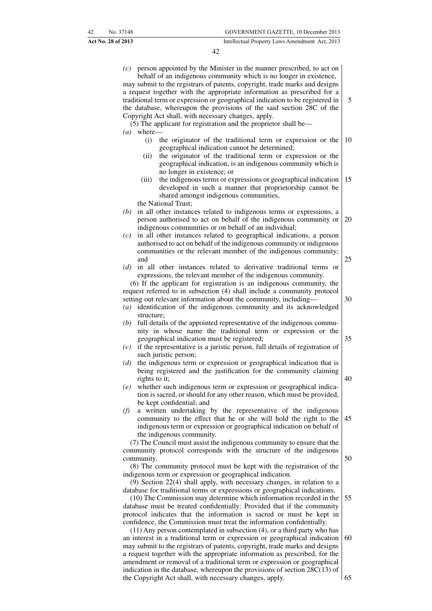5

**Act No. 28 of 2013** Intellectual Property Laws Amendment Act, 2013

*(c)* person appointed by the Minister in the manner prescribed, to act on behalf of an indigenous community which is no longer in existence, may submit to the registrars of patents, copyright, trade marks and designs a request together with the appropriate information as prescribed for a traditional term or expression or geographical indication to be registered in the database, whereupon the provisions of the said section 28C of the Copyright Act shall, with necessary changes, apply. (5) The applicant for registration and the proprietor shall be— *(a)* where— (i) the originator of the traditional term or expression or the geographical indication cannot be determined; (ii) the originator of the traditional term or expression or the geographical indication, is an indigenous community which is no longer in existence; or (iii) the indigenous terms or expressions or geographical indication developed in such a manner that proprietorship cannot be shared amongst indigenous communities, the National Trust; *(b)* in all other instances related to indigenous terms or expressions, a person authorised to act on behalf of the indigenous community or indigenous communities or on behalf of an individual; *(c)* in all other instances related to geographical indications, a person authorised to act on behalf of the indigenous community or indigenous communities or the relevant member of the indigenous community; and *(d)* in all other instances related to derivative traditional terms or expressions, the relevant member of the indigenous community. (6) If the applicant for registration is an indigenous community, the request referred to in subsection (4) shall include a community protocol setting out relevant information about the community, including— *(a)* identification of the indigenous community and its acknowledged structure; *(b)* full details of the appointed representative of the indigenous community in whose name the traditional term or expression or the geographical indication must be registered; *(c)* if the representative is a juristic person, full details of registration of such juristic person; *(d)* the indigenous term or expression or geographical indication that is being registered and the justification for the community claiming rights to it; *(e)* whether such indigenous term or expression or geographical indication is sacred, or should for any other reason, which must be provided, be kept confidential; and *(f)* a written undertaking by the representative of the indigenous community to the effect that he or she will hold the right to the indigenous term or expression or geographical indication on behalf of the indigenous community. (7) The Council must assist the indigenous community to ensure that the community protocol corresponds with the structure of the indigenous community. (8) The community protocol must be kept with the registration of the indigenous term or expression or geographical indication. (9) Section 22(4) shall apply, with necessary changes, in relation to a database for traditional terms or expressions or geographical indications. (10) The Commission may determine which information recorded in the database must be treated confidentially: Provided that if the community protocol indicates that the information is sacred or must be kept in confidence, the Commission must treat the information confidentially. (11) Any person contemplated in subsection (4), or a third party who has an interest in a traditional term or expression or geographical indication may submit to the registrars of patents, copyright, trade marks and designs a request together with the appropriate information as prescribed, for the amendment or removal of a traditional term or expression or geographical indication in the database, whereupon the provisions of section 28C(13) of 10 15 20 25 30 35 40 45 50 55 60

the Copyright Act shall, with necessary changes, apply.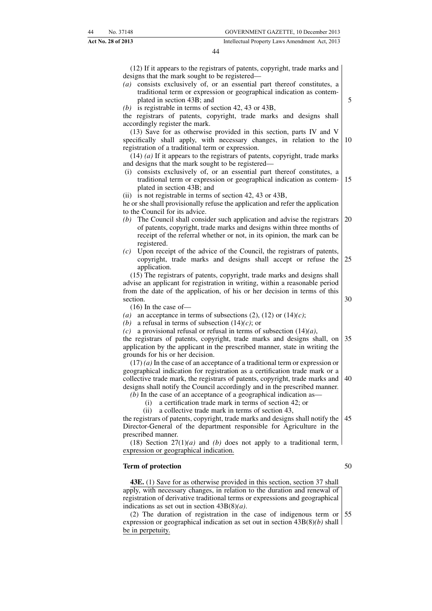(12) If it appears to the registrars of patents, copyright, trade marks and designs that the mark sought to be registered—

- *(a)* consists exclusively of, or an essential part thereof constitutes, a traditional term or expression or geographical indication as contemplated in section 43B; and
- *(b)* is registrable in terms of section 42, 43 or 43B,

the registrars of patents, copyright, trade marks and designs shall accordingly register the mark.

(13) Save for as otherwise provided in this section, parts IV and V specifically shall apply, with necessary changes, in relation to the registration of a traditional term or expression. 10

(14) *(a)* If it appears to the registrars of patents, copyright, trade marks and designs that the mark sought to be registered—

- (i) consists exclusively of, or an essential part thereof constitutes, a traditional term or expression or geographical indication as contemplated in section 43B; and 15
- (ii) is not registrable in terms of section 42, 43 or 43B,

he or she shall provisionally refuse the application and refer the application to the Council for its advice.

- *(b)* The Council shall consider such application and advise the registrars of patents, copyright, trade marks and designs within three months of receipt of the referral whether or not, in its opinion, the mark can be registered. 20
- *(c)* Upon receipt of the advice of the Council, the registrars of patents, copyright, trade marks and designs shall accept or refuse the application. 25

(15) The registrars of patents, copyright, trade marks and designs shall advise an applicant for registration in writing, within a reasonable period from the date of the application, of his or her decision in terms of this section.

(16) In the case of—

- (a) an acceptance in terms of subsections  $(2)$ ,  $(12)$  or  $(14)(c)$ ;
- *(b)* a refusal in terms of subsection (14)*(c)*; or
- *(c)* a provisional refusal or refusal in terms of subsection (14)*(a)*,

the registrars of patents, copyright, trade marks and designs shall, on application by the applicant in the prescribed manner, state in writing the grounds for his or her decision. 35

(17) *(a)* In the case of an acceptance of a traditional term or expression or geographical indication for registration as a certification trade mark or a collective trade mark, the registrars of patents, copyright, trade marks and designs shall notify the Council accordingly and in the prescribed manner. 40

- *(b)* In the case of an acceptance of a geographical indication as—
	- (i) a certification trade mark in terms of section 42; or

(ii) a collective trade mark in terms of section 43,

the registrars of patents, copyright, trade marks and designs shall notify the Director-General of the department responsible for Agriculture in the prescribed manner. 45

(18) Section 27(1)*(a)* and *(b)* does not apply to a traditional term, expression or geographical indication.

# **Term of protection**

50

30

5

**43E.** (1) Save for as otherwise provided in this section, section 37 shall apply, with necessary changes, in relation to the duration and renewal of registration of derivative traditional terms or expressions and geographical indications as set out in section 43B(8)*(a)*.

(2) The duration of registration in the case of indigenous term or expression or geographical indication as set out in section 43B(8)*(b)* shall be in perpetuity. 55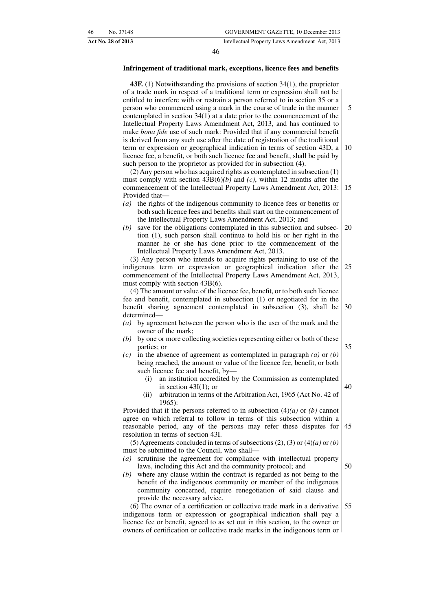#### **Infringement of traditional mark, exceptions, licence fees and benefits**

**43F.** (1) Notwithstanding the provisions of section 34(1), the proprietor of a trade mark in respect of a traditional term or expression shall not be entitled to interfere with or restrain a person referred to in section 35 or a person who commenced using a mark in the course of trade in the manner contemplated in section 34(1) at a date prior to the commencement of the Intellectual Property Laws Amendment Act, 2013, and has continued to make *bona fide* use of such mark: Provided that if any commercial benefit is derived from any such use after the date of registration of the traditional term or expression or geographical indication in terms of section 43D, a licence fee, a benefit, or both such licence fee and benefit, shall be paid by such person to the proprietor as provided for in subsection (4). (2) Any person who has acquired rights as contemplated in subsection (1) 5 10

must comply with section 43B(6)*(b)* and *(c)*, within 12 months after the commencement of the Intellectual Property Laws Amendment Act, 2013: Provided that— 15

- *(a)* the rights of the indigenous community to licence fees or benefits or both such licence fees and benefits shall start on the commencement of the Intellectual Property Laws Amendment Act, 2013; and
- *(b)* save for the obligations contemplated in this subsection and subsection (1), such person shall continue to hold his or her right in the manner he or she has done prior to the commencement of the Intellectual Property Laws Amendment Act, 2013. 20

(3) Any person who intends to acquire rights pertaining to use of the indigenous term or expression or geographical indication after the commencement of the Intellectual Property Laws Amendment Act, 2013, must comply with section 43B(6). 25

(4) The amount or value of the licence fee, benefit, or to both such licence fee and benefit, contemplated in subsection (1) or negotiated for in the benefit sharing agreement contemplated in subsection (3), shall be determined— 30

- *(a)* by agreement between the person who is the user of the mark and the owner of the mark;
- *(b)* by one or more collecting societies representing either or both of these parties; or
- *(c)* in the absence of agreement as contemplated in paragraph *(a)* or *(b)* being reached, the amount or value of the licence fee, benefit, or both such licence fee and benefit, by—
	- (i) an institution accredited by the Commission as contemplated in section 43I(1); or
	- (ii) arbitration in terms of the Arbitration Act, 1965 (Act No. 42 of 1965):

Provided that if the persons referred to in subsection (4)*(a)* or *(b)* cannot agree on which referral to follow in terms of this subsection within a reasonable period, any of the persons may refer these disputes for resolution in terms of section 43I.

(5) Agreements concluded in terms of subsections (2), (3) or (4)*(a)* or *(b)* must be submitted to the Council, who shall—

- *(a)* scrutinise the agreement for compliance with intellectual property laws, including this Act and the community protocol; and
- *(b)* where any clause within the contract is regarded as not being to the benefit of the indigenous community or member of the indigenous community concerned, require renegotiation of said clause and provide the necessary advice.
- (6) The owner of a certification or collective trade mark in a derivative indigenous term or expression or geographical indication shall pay a licence fee or benefit, agreed to as set out in this section, to the owner or owners of certification or collective trade marks in the indigenous term or 55

45

50

35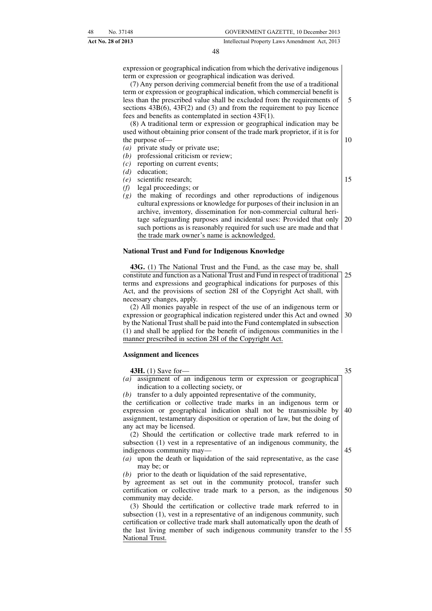expression or geographical indication from which the derivative indigenous term or expression or geographical indication was derived.

(7) Any person deriving commercial benefit from the use of a traditional term or expression or geographical indication, which commercial benefit is less than the prescribed value shall be excluded from the requirements of sections  $43B(6)$ ,  $43F(2)$  and (3) and from the requirement to pay licence fees and benefits as contemplated in section 43F(1).

(8) A traditional term or expression or geographical indication may be used without obtaining prior consent of the trade mark proprietor, if it is for the purpose of—

- *(a)* private study or private use;
- *(b)* professional criticism or review;
- *(c)* reporting on current events;
- *(d)* education;
- *(e)* scientific research;
- *(f)* legal proceedings; or
- *(g)* the making of recordings and other reproductions of indigenous cultural expressions or knowledge for purposes of their inclusion in an archive, inventory, dissemination for non-commercial cultural heritage safeguarding purposes and incidental uses: Provided that only such portions as is reasonably required for such use are made and that the trade mark owner's name is acknowledged. 20

# **National Trust and Fund for Indigenous Knowledge**

**43G.** (1) The National Trust and the Fund, as the case may be, shall constitute and function as a National Trust and Fund in respect of traditional terms and expressions and geographical indications for purposes of this Act, and the provisions of section 28I of the Copyright Act shall, with necessary changes, apply. 25

(2) All monies payable in respect of the use of an indigenous term or expression or geographical indication registered under this Act and owned 30 by the National Trust shall be paid into the Fund contemplated in subsection (1) and shall be applied for the benefit of indigenous communities in the manner prescribed in section 28I of the Copyright Act.

# **Assignment and licences**

**43H.** (1) Save for—

| (a) assignment of an indigenous term or expression or geographical                   |    |  |
|--------------------------------------------------------------------------------------|----|--|
| indication to a collecting society, or                                               |    |  |
| $(b)$ transfer to a duly appointed representative of the community,                  |    |  |
| the certification or collective trade marks in an indigenous term or                 |    |  |
| expression or geographical indication shall not be transmissible by $ 40\rangle$     |    |  |
| assignment, testamentary disposition or operation of law, but the doing of           |    |  |
| any act may be licensed.                                                             |    |  |
| (2) Should the certification or collective trade mark referred to in                 |    |  |
| subsection (1) vest in a representative of an indigenous community, the              |    |  |
| indigenous community may—                                                            | 45 |  |
| $(a)$ upon the death or liquidation of the said representative, as the case          |    |  |
| may be; or                                                                           |    |  |
| $(b)$ prior to the death or liquidation of the said representative,                  |    |  |
| by agreement as set out in the community protocol, transfer such                     |    |  |
| certification or collective trade mark to a person, as the indigenous                | 50 |  |
| community may decide.                                                                |    |  |
| (3) Should the certification or collective trade mark referred to in                 |    |  |
| subsection (1), vest in a representative of an indigenous community, such            |    |  |
| certification or collective trade mark shall automatically upon the death of         |    |  |
| the last living member of such indigenous community transfer to the $\frac{155}{15}$ |    |  |

National Trust.

10

5

15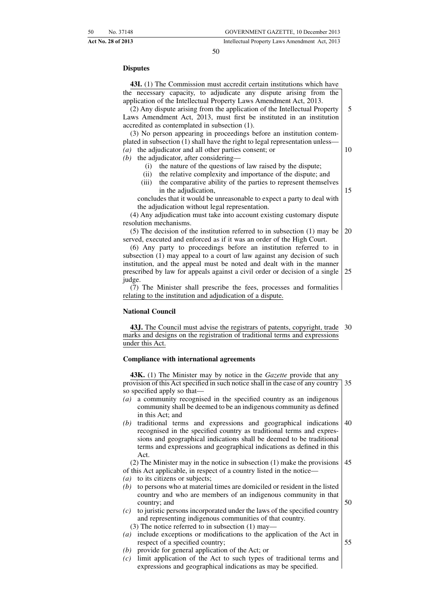5

10

15

50

# **Disputes**

**43I.** (1) The Commission must accredit certain institutions which have the necessary capacity, to adjudicate any dispute arising from the application of the Intellectual Property Laws Amendment Act, 2013.

(2) Any dispute arising from the application of the Intellectual Property Laws Amendment Act, 2013, must first be instituted in an institution accredited as contemplated in subsection (1).

(3) No person appearing in proceedings before an institution contemplated in subsection (1) shall have the right to legal representation unless— *(a)* the adjudicator and all other parties consent; or

- *(b)* the adjudicator, after considering—
	- (i) the nature of the questions of law raised by the dispute;
	- (ii) the relative complexity and importance of the dispute; and
	- (iii) the comparative ability of the parties to represent themselves in the adjudication,

concludes that it would be unreasonable to expect a party to deal with the adjudication without legal representation.

(4) Any adjudication must take into account existing customary dispute resolution mechanisms.

(5) The decision of the institution referred to in subsection (1) may be served, executed and enforced as if it was an order of the High Court. 20

(6) Any party to proceedings before an institution referred to in subsection (1) may appeal to a court of law against any decision of such institution, and the appeal must be noted and dealt with in the manner prescribed by law for appeals against a civil order or decision of a single judge. 25

(7) The Minister shall prescribe the fees, processes and formalities relating to the institution and adjudication of a dispute.

# **National Council**

**43J.** The Council must advise the registrars of patents, copyright, trade 30 marks and designs on the registration of traditional terms and expressions under this Act.

#### **Compliance with international agreements**

**43K.** (1) The Minister may by notice in the *Gazette* provide that any provision of this Act specified in such notice shall in the case of any country so specified apply so that— *(a)* a community recognised in the specified country as an indigenous community shall be deemed to be an indigenous community as defined in this Act; and *(b)* traditional terms and expressions and geographical indications recognised in the specified country as traditional terms and expressions and geographical indications shall be deemed to be traditional terms and expressions and geographical indications as defined in this Act. (2) The Minister may in the notice in subsection (1) make the provisions of this Act applicable, in respect of a country listed in the notice— *(a)* to its citizens or subjects; *(b)* to persons who at material times are domiciled or resident in the listed country and who are members of an indigenous community in that country; and *(c)* to juristic persons incorporated under the laws of the specified country and representing indigenous communities of that country. (3) The notice referred to in subsection (1) may— *(a)* include exceptions or modifications to the application of the Act in respect of a specified country; *(b)* provide for general application of the Act; or *(c)* limit application of the Act to such types of traditional terms and expressions and geographical indications as may be specified. 35 40 45 50 55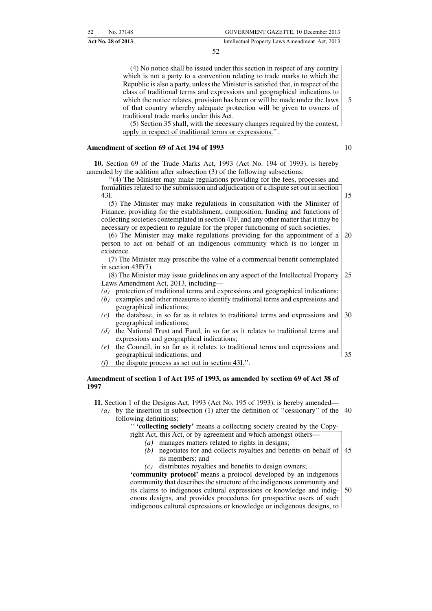52

(4) No notice shall be issued under this section in respect of any country which is not a party to a convention relating to trade marks to which the Republic is also a party, unless the Minister is satisfied that, in respect of the class of traditional terms and expressions and geographical indications to which the notice relates, provision has been or will be made under the laws of that country whereby adequate protection will be given to owners of traditional trade marks under this Act.

(5) Section 35 shall, with the necessary changes required by the context, apply in respect of traditional terms or expressions.''.

# **Amendment of section 69 of Act 194 of 1993**

**10.** Section 69 of the Trade Marks Act, 1993 (Act No. 194 of 1993), is hereby amended by the addition after subsection (3) of the following subsections:

''(4) The Minister may make regulations providing for the fees, processes and formalities related to the submission and adjudication of a dispute set out in section 43I.

(5) The Minister may make regulations in consultation with the Minister of Finance, providing for the establishment, composition, funding and functions of collecting societies contemplated in section 43F, and any other matter that it may be necessary or expedient to regulate for the proper functioning of such societies.

(6) The Minister may make regulations providing for the appointment of a person to act on behalf of an indigenous community which is no longer in existence. 20

(7) The Minister may prescribe the value of a commercial benefit contemplated in section 43F(7).

(8) The Minister may issue guidelines on any aspect of the Intellectual Property Laws Amendment Act, 2013, including— 25

- *(a)* protection of traditional terms and expressions and geographical indications;
- *(b)* examples and other measures to identify traditional terms and expressions and geographical indications;
- *(c)* the database, in so far as it relates to traditional terms and expressions and geographical indications; 30
- *(d)* the National Trust and Fund, in so far as it relates to traditional terms and expressions and geographical indications;
- *(e)* the Council, in so far as it relates to traditional terms and expressions and geographical indications; and 35
- *(f)* the dispute process as set out in section 43I.''.

# **Amendment of section 1 of Act 195 of 1993, as amended by section 69 of Act 38 of 1997**

**11.** Section 1 of the Designs Act, 1993 (Act No. 195 of 1993), is hereby amended—

*(a)* by the insertion in subsection (1) after the definition of ''cessionary'' of the 40 following definitions:

'' **'collecting society'** means a collecting society created by the Copy-

right Act, this Act, or by agreement and which amongst others—

- *(a)* manages matters related to rights in designs;
	- *(b)* negotiates for and collects royalties and benefits on behalf of its members; and 45
	- *(c)* distributes royalties and benefits to design owners;

**'community protocol'** means a protocol developed by an indigenous community that describes the structure of the indigenous community and its claims to indigenous cultural expressions or knowledge and indigenous designs, and provides procedures for prospective users of such indigenous cultural expressions or knowledge or indigenous designs, to 50

15

10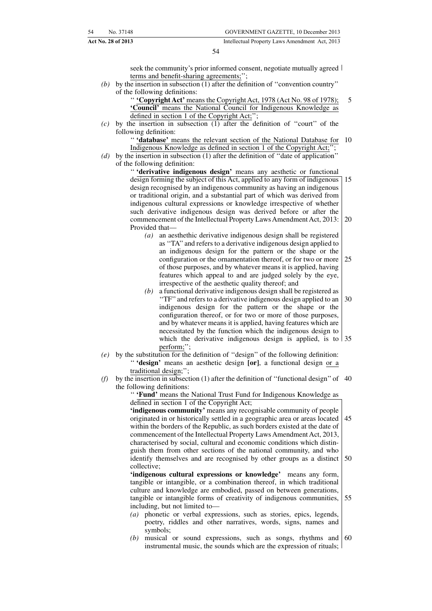seek the community's prior informed consent, negotiate mutually agreed terms and benefit-sharing agreements;'';

*(b)* by the insertion in subsection (1) after the definition of ''convention country'' of the following definitions:

'' **'Copyright Act'** means the Copyright Act, 1978 (Act No. 98 of 1978); **'Council'** means the National Council for Indigenous Knowledge as defined in section 1 of the Copyright Act;''; 5

*(c)* by the insertion in subsection (1) after the definition of ''court'' of the following definition:

'' **'database'** means the relevant section of the National Database for 10 Indigenous Knowledge as defined in section 1 of the Copyright Act;'';

*(d)* by the insertion in subsection (1) after the definition of ''date of application'' of the following definition:

> '' **'derivative indigenous design'** means any aesthetic or functional design forming the subject of this Act, applied to any form of indigenous design recognised by an indigenous community as having an indigenous or traditional origin, and a substantial part of which was derived from indigenous cultural expressions or knowledge irrespective of whether such derivative indigenous design was derived before or after the commencement of the Intellectual Property Laws Amendment Act, 2013: Provided that— 15 20

- *(a)* an aesthethic derivative indigenous design shall be registered as ''TA'' and refers to a derivative indigenous design applied to an indigenous design for the pattern or the shape or the configuration or the ornamentation thereof, or for two or more of those purposes, and by whatever means it is applied, having features which appeal to and are judged solely by the eye, irrespective of the aesthetic quality thereof; and 25
- *(b)* a functional derivative indigenous design shall be registered as ''TF'' and refers to a derivative indigenous design applied to an indigenous design for the pattern or the shape or the configuration thereof, or for two or more of those purposes, and by whatever means it is applied, having features which are necessitated by the function which the indigenous design to which the derivative indigenous design is applied, is to  $|35$ perform;''; 30
- *(e)* by the substitution for the definition of ''design'' of the following definition: '' **'design'** means an aesthetic design **[or]**, a functional design or a traditional design;'';
- (f) by the insertion in subsection (1) after the definition of "functional design" of  $\,$  40 the following definitions:

'' **'Fund'** means the National Trust Fund for Indigenous Knowledge as defined in section 1 of the Copyright Act;

**'indigenous community'** means any recognisable community of people originated in or historically settled in a geographic area or areas located within the borders of the Republic, as such borders existed at the date of commencement of the Intellectual Property Laws Amendment Act, 2013, characterised by social, cultural and economic conditions which distinguish them from other sections of the national community, and who identify themselves and are recognised by other groups as a distinct collective; 45 50

**'indigenous cultural expressions or knowledge'** means any form, tangible or intangible, or a combination thereof, in which traditional culture and knowledge are embodied, passed on between generations, tangible or intangible forms of creativity of indigenous communities, including, but not limited to—

- *(a)* phonetic or verbal expressions, such as stories, epics, legends, poetry, riddles and other narratives, words, signs, names and symbols;
- *(b)* musical or sound expressions, such as songs, rhythms and instrumental music, the sounds which are the expression of rituals; 60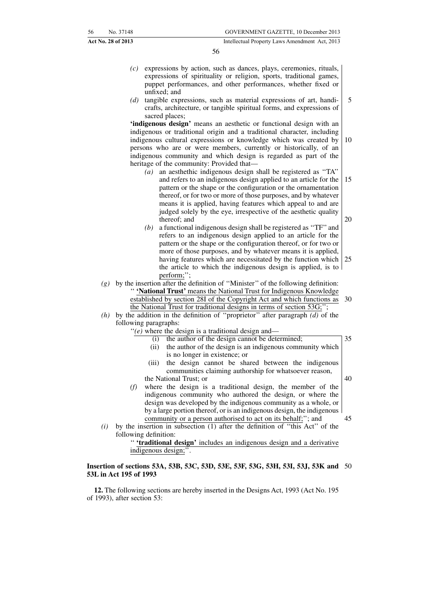- *(c)* expressions by action, such as dances, plays, ceremonies, rituals, expressions of spirituality or religion, sports, traditional games, puppet performances, and other performances, whether fixed or unfixed; and
- *(d)* tangible expressions, such as material expressions of art, handicrafts, architecture, or tangible spiritual forms, and expressions of sacred places; 5

**'indigenous design'** means an aesthetic or functional design with an indigenous or traditional origin and a traditional character, including indigenous cultural expressions or knowledge which was created by persons who are or were members, currently or historically, of an indigenous community and which design is regarded as part of the heritage of the community: Provided that— 10

- *(a)* an aesthethic indigenous design shall be registered as ''TA'' and refers to an indigenous design applied to an article for the pattern or the shape or the configuration or the ornamentation thereof, or for two or more of those purposes, and by whatever means it is applied, having features which appeal to and are judged solely by the eye, irrespective of the aesthetic quality thereof; and 15 20
- *(b)* a functional indigenous design shall be registered as ''TF'' and refers to an indigenous design applied to an article for the pattern or the shape or the configuration thereof, or for two or more of those purposes, and by whatever means it is applied, having features which are necessitated by the function which the article to which the indigenous design is applied, is to perform;''; 25
- *(g)* by the insertion after the definition of ''Minister'' of the following definition: '' **'National Trust'** means the National Trust for Indigenous Knowledge established by section 28I of the Copyright Act and which functions as the National Trust for traditional designs in terms of section 53G;''; 30
- *(h)* by the addition in the definition of ''proprietor'' after paragraph *(d)* of the following paragraphs:

''*(e)* where the design is a traditional design and—

- (i) the author of the design cannot be determined; 35
- (ii) the author of the design is an indigenous community which is no longer in existence; or
- (iii) the design cannot be shared between the indigenous communities claiming authorship for whatsoever reason, the National Trust; or
- *(f)* where the design is a traditional design, the member of the indigenous community who authored the design, or where the design was developed by the indigenous community as a whole, or by a large portion thereof, or is an indigenous design, the indigenous community or a person authorised to act on its behalf;''; and
- *(i)* by the insertion in subsection (1) after the definition of ''this Act'' of the following definition:

'' **'traditional design'** includes an indigenous design and a derivative indigenous design;''.

# **Insertion of sections 53A, 53B, 53C, 53D, 53E, 53F, 53G, 53H, 53I, 53J, 53K and** 50**53L in Act 195 of 1993**

**12.** The following sections are hereby inserted in the Designs Act, 1993 (Act No. 195 of 1993), after section 53:

40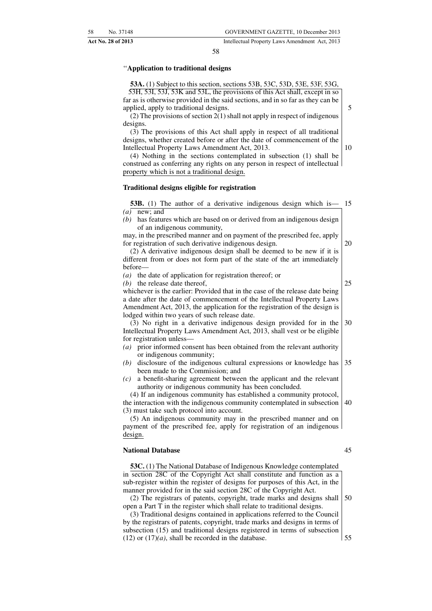58

# ''**Application to traditional designs**

**53A.** (1) Subject to this section, sections 53B, 53C, 53D, 53E, 53F, 53G, 53H, 53I, 53J, 53K and 53L, the provisions of this Act shall, except in so far as is otherwise provided in the said sections, and in so far as they can be applied, apply to traditional designs.

(2) The provisions of section  $2(1)$  shall not apply in respect of indigenous designs.

(3) The provisions of this Act shall apply in respect of all traditional designs, whether created before or after the date of commencement of the Intellectual Property Laws Amendment Act, 2013.

(4) Nothing in the sections contemplated in subsection (1) shall be construed as conferring any rights on any person in respect of intellectual property which is not a traditional design.

#### **Traditional designs eligible for registration**

**53B.** (1) The author of a derivative indigenous design which is— *(a)* new; and 15

*(b)* has features which are based on or derived from an indigenous design of an indigenous community,

may, in the prescribed manner and on payment of the prescribed fee, apply for registration of such derivative indigenous design.

(2) A derivative indigenous design shall be deemed to be new if it is different from or does not form part of the state of the art immediately before—

*(a)* the date of application for registration thereof; or

*(b)* the release date thereof,

whichever is the earlier: Provided that in the case of the release date being a date after the date of commencement of the Intellectual Property Laws Amendment Act, 2013, the application for the registration of the design is lodged within two years of such release date.

(3) No right in a derivative indigenous design provided for in the Intellectual Property Laws Amendment Act, 2013, shall vest or be eligible for registration unless— 30

- *(a)* prior informed consent has been obtained from the relevant authority or indigenous community;
- *(b)* disclosure of the indigenous cultural expressions or knowledge has been made to the Commission; and 35
- *(c)* a benefit-sharing agreement between the applicant and the relevant authority or indigenous community has been concluded.

(4) If an indigenous community has established a community protocol, the interaction with the indigenous community contemplated in subsection (3) must take such protocol into account. 40

(5) An indigenous community may in the prescribed manner and on payment of the prescribed fee, apply for registration of an indigenous design.

# **National Database**

**53C.** (1) The National Database of Indigenous Knowledge contemplated in section 28C of the Copyright Act shall constitute and function as a sub-register within the register of designs for purposes of this Act, in the manner provided for in the said section 28C of the Copyright Act.

(2) The registrars of patents, copyright, trade marks and designs shall open a Part T in the register which shall relate to traditional designs. 50

(3) Traditional designs contained in applications referred to the Council by the registrars of patents, copyright, trade marks and designs in terms of subsection (15) and traditional designs registered in terms of subsection (12) or  $(17)(a)$ , shall be recorded in the database.

45

55

10

5

20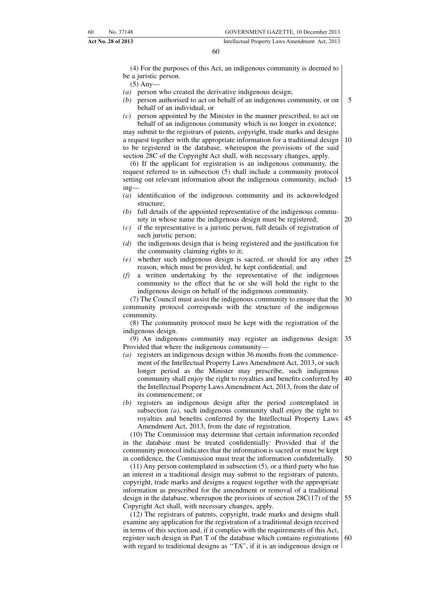60

(4) For the purposes of this Act, an indigenous community is deemed to be a juristic person.

(5) Any—

*(a)* person who created the derivative indigenous design;

- *(b)* person authorised to act on behalf of an indigenous community, or on behalf of an individual, or 5
- *(c)* person appointed by the Minister in the manner prescribed, to act on behalf of an indigenous community which is no longer in existence;

may submit to the registrars of patents, copyright, trade marks and designs a request together with the appropriate information for a traditional design to be registered in the database, whereupon the provisions of the said section 28C of the Copyright Act shall, with necessary changes, apply. 10

(6) If the applicant for registration is an indigenous community, the request referred to in subsection (5) shall include a community protocol setting out relevant information about the indigenous community, including—

- *(a)* identification of the indigenous community and its acknowledged structure;
- *(b)* full details of the appointed representative of the indigenous community in whose name the indigenous design must be registered;
- *(c)* if the representative is a juristic person, full details of registration of such juristic person;
- *(d)* the indigenous design that is being registered and the justification for the community claiming rights to it;
- *(e)* whether such indigenous design is sacred, or should for any other reason, which must be provided, be kept confidential; and 25
- *(f)* a written undertaking by the representative of the indigenous community to the effect that he or she will hold the right to the indigenous design on behalf of the indigenous community.

(7) The Council must assist the indigenous community to ensure that the community protocol corresponds with the structure of the indigenous community. 30

(8) The community protocol must be kept with the registration of the indigenous design.

(9) An indigenous community may register an indigenous design: Provided that where the indigenous community— 35

- *(a)* registers an indigenous design within 36 months from the commencement of the Intellectual Property Laws Amendment Act, 2013, or such longer period as the Minister may prescribe, such indigenous community shall enjoy the right to royalties and benefits conferred by the Intellectual Property Laws Amendment Act, 2013, from the date of its commencement; or 40
- *(b)* registers an indigenous design after the period contemplated in subsection *(a)*, such indigenous community shall enjoy the right to royalties and benefits conferred by the Intellectual Property Laws Amendment Act, 2013, from the date of registration. 45

(10) The Commission may determine that certain information recorded in the database must be treated confidentially: Provided that if the community protocol indicates that the information is sacred or must be kept in confidence, the Commission must treat the information confidentially.

(11) Any person contemplated in subsection (5), or a third party who has an interest in a traditional design may submit to the registrars of patents, copyright, trade marks and designs a request together with the appropriate information as prescribed for the amendment or removal of a traditional design in the database, whereupon the provisions of section  $28C(17)$  of the Copyright Act shall, with necessary changes, apply. 55

(12) The registrars of patents, copyright, trade marks and designs shall examine any application for the registration of a traditional design received in terms of this section and, if it complies with the requirements of this Act, register such design in Part T of the database which contains registrations with regard to traditional designs as "TA", if it is an indigenous design or 60

50

20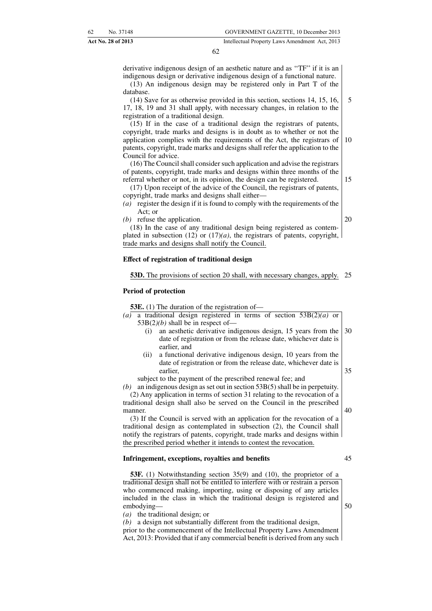derivative indigenous design of an aesthetic nature and as ''TF'' if it is an indigenous design or derivative indigenous design of a functional nature. (13) An indigenous design may be registered only in Part T of the

database. (14) Save for as otherwise provided in this section, sections 14, 15, 16, 17, 18, 19 and 31 shall apply, with necessary changes, in relation to the registration of a traditional design. 5

(15) If in the case of a traditional design the registrars of patents, copyright, trade marks and designs is in doubt as to whether or not the application complies with the requirements of the Act, the registrars of patents, copyright, trade marks and designs shall refer the application to the Council for advice. 10

(16) The Council shall consider such application and advise the registrars of patents, copyright, trade marks and designs within three months of the referral whether or not, in its opinion, the design can be registered.

(17) Upon receipt of the advice of the Council, the registrars of patents, copyright, trade marks and designs shall either—

*(a)* register the design if it is found to comply with the requirements of the Act; or

20

15

*(b)* refuse the application. (18) In the case of any traditional design being registered as contemplated in subsection  $(12)$  or  $(17)(a)$ , the registrars of patents, copyright, trade marks and designs shall notify the Council.

# **Effect of registration of traditional design**

# **53D.** The provisions of section 20 shall, with necessary changes, apply. 25

# **Period of protection**

**53E.** (1) The duration of the registration of—

| (a) |     | a traditional design registered in terms of section $53B(2)(a)$ or      |  |
|-----|-----|-------------------------------------------------------------------------|--|
|     |     | $53B(2)(b)$ shall be in respect of-                                     |  |
|     |     | an aesthetic derivative indigenous design, 15 years from the $\vert$ 30 |  |
|     |     | date of registration or from the release date, whichever date is        |  |
|     |     | earlier, and                                                            |  |
|     | (i) | a functional derivative indigenous design, 10 years from the            |  |
|     |     | date of registration or from the release date, whichever date is        |  |

date of registration or from the release date, whichever earlier,

subject to the payment of the prescribed renewal fee; and

*(b)* an indigenous design as set out in section 53B(5) shall be in perpetuity. (2) Any application in terms of section 31 relating to the revocation of a traditional design shall also be served on the Council in the prescribed manner.

(3) If the Council is served with an application for the revocation of a traditional design as contemplated in subsection (2), the Council shall notify the registrars of patents, copyright, trade marks and designs within the prescribed period whether it intends to contest the revocation.

# **Infringement, exceptions, royalties and benefits**

**53F.** (1) Notwithstanding section 35(9) and (10), the proprietor of a traditional design shall not be entitled to interfere with or restrain a person who commenced making, importing, using or disposing of any articles included in the class in which the traditional design is registered and embodying—

*(a)* the traditional design; or

*(b)* a design not substantially different from the traditional design, prior to the commencement of the Intellectual Property Laws Amendment Act, 2013: Provided that if any commercial benefit is derived from any such

45

50

35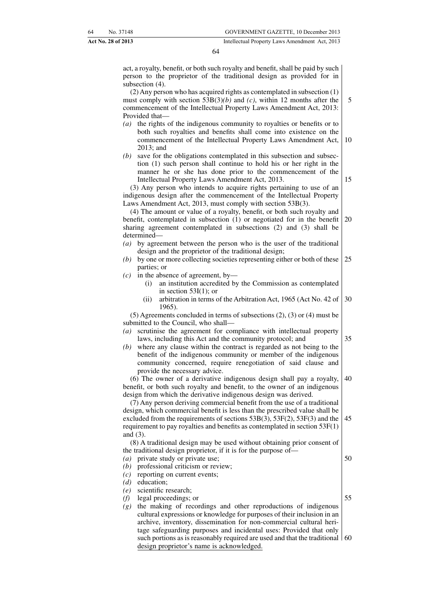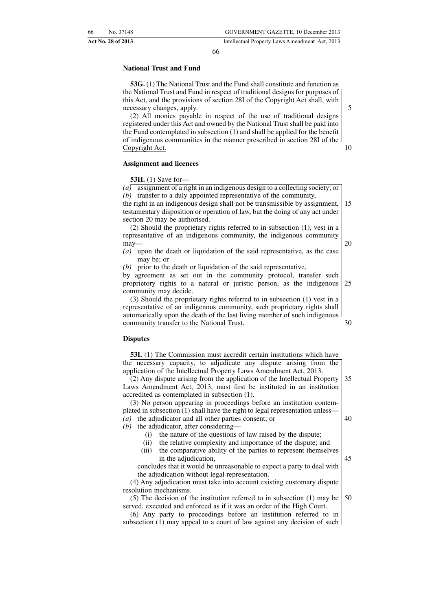66

# **National Trust and Fund**

**53G.** (1) The National Trust and the Fund shall constitute and function as the National Trust and Fund in respect of traditional designs for purposes of this Act, and the provisions of section 28I of the Copyright Act shall, with necessary changes, apply.

(2) All monies payable in respect of the use of traditional designs registered under this Act and owned by the National Trust shall be paid into the Fund contemplated in subsection (1) and shall be applied for the benefit of indigenous communities in the manner prescribed in section 28I of the Copyright Act.

10

5

# **Assignment and licences**

**53H.** (1) Save for—

| assignment of a right in an indigenous design to a collecting society; or<br>$\left( a\right)$ |    |
|------------------------------------------------------------------------------------------------|----|
| transfer to a duly appointed representative of the community,<br>(b)                           |    |
| the right in an indigenous design shall not be transmissible by assignment,                    | 15 |
| testamentary disposition or operation of law, but the doing of any act under                   |    |
| section 20 may be authorised.                                                                  |    |
| $(2)$ Should the proprietary rights referred to in subsection $(1)$ , vest in a                |    |
| representative of an indigenous community, the indigenous community                            |    |
| $may$ —                                                                                        | 20 |
| (a) upon the death or liquidation of the said representative, as the case                      |    |
| may be; or                                                                                     |    |
| $(b)$ prior to the death or liquidation of the said representative,                            |    |
| by agreement as set out in the community protocol, transfer such                               |    |
| proprietory rights to a natural or juristic person, as the indigenous                          | 25 |
| community may decide.                                                                          |    |
| (3) Should the proprietary rights referred to in subsection (1) vest in a                      |    |
|                                                                                                |    |

representative of an indigenous community, such proprietary rights shall automatically upon the death of the last living member of such indigenous community transfer to the National Trust. 30

# **Disputes**

**53I.** (1) The Commission must accredit certain institutions which have the necessary capacity, to adjudicate any dispute arising from the application of the Intellectual Property Laws Amendment Act, 2013.

(2) Any dispute arising from the application of the Intellectual Property Laws Amendment Act, 2013, must first be instituted in an institution accredited as contemplated in subsection (1). 35

| (3) No person appearing in proceedings before an institution contem-            |    |
|---------------------------------------------------------------------------------|----|
| plated in subsection $(1)$ shall have the right to legal representation unless— |    |
| ( <i>a</i> ) the adjudicator and all other parties consent; or                  | 40 |
| (b) the adjudicator, after considering—                                         |    |

- (i) the nature of the questions of law raised by the dispute;
- (ii) the relative complexity and importance of the dispute; and
- (iii) the comparative ability of the parties to represent themselves in the adjudication,

concludes that it would be unreasonable to expect a party to deal with the adjudication without legal representation.

(4) Any adjudication must take into account existing customary dispute resolution mechanisms.

(5) The decision of the institution referred to in subsection (1) may be served, executed and enforced as if it was an order of the High Court. 50

(6) Any party to proceedings before an institution referred to in subsection (1) may appeal to a court of law against any decision of such

- 
- 
- 45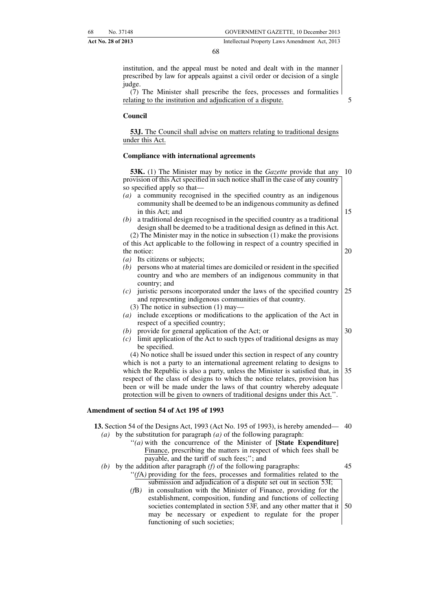68

institution, and the appeal must be noted and dealt with in the manner prescribed by law for appeals against a civil order or decision of a single judge.

(7) The Minister shall prescribe the fees, processes and formalities relating to the institution and adjudication of a dispute.

5

20

30

# **Council**

**53J.** The Council shall advise on matters relating to traditional designs under this Act.

# **Compliance with international agreements**

**53K.** (1) The Minister may by notice in the *Gazette* provide that any 10 provision of this Act specified in such notice shall in the case of any country so specified apply so that—

- *(a)* a community recognised in the specified country as an indigenous community shall be deemed to be an indigenous community as defined in this Act; and 15
- *(b)* a traditional design recognised in the specified country as a traditional design shall be deemed to be a traditional design as defined in this Act.

(2) The Minister may in the notice in subsection (1) make the provisions of this Act applicable to the following in respect of a country specified in the notice:

- *(a)* Its citizens or subjects;
- *(b)* persons who at material times are domiciled or resident in the specified country and who are members of an indigenous community in that country; and
- *(c)* juristic persons incorporated under the laws of the specified country and representing indigenous communities of that country. (3) The notice in subsection (1) may— 25
- *(a)* include exceptions or modifications to the application of the Act in respect of a specified country;
- *(b)* provide for general application of the Act; or
- *(c)* limit application of the Act to such types of traditional designs as may be specified.

(4) No notice shall be issued under this section in respect of any country which is not a party to an international agreement relating to designs to which the Republic is also a party, unless the Minister is satisfied that, in respect of the class of designs to which the notice relates, provision has been or will be made under the laws of that country whereby adequate protection will be given to owners of traditional designs under this Act.''. 35

# **Amendment of section 54 of Act 195 of 1993**

**13.** Section 54 of the Designs Act, 1993 (Act No. 195 of 1993), is hereby amended— 40 *(a)* by the substitution for paragraph *(a)* of the following paragraph:

- ''*(a)* with the concurrence of the Minister of **[State Expenditure]** Finance, prescribing the matters in respect of which fees shall be payable, and the tariff of such fees;''; and
- *(b)* by the addition after paragraph *(f)* of the following paragraphs: ''*(f*A*)* providing for the fees, processes and formalities related to the submission and adjudication of a dispute set out in section 53I; 45
	- *(f*B*)* in consultation with the Minister of Finance, providing for the establishment, composition, funding and functions of collecting societies contemplated in section 53F, and any other matter that it may be necessary or expedient to regulate for the proper functioning of such societies; 50